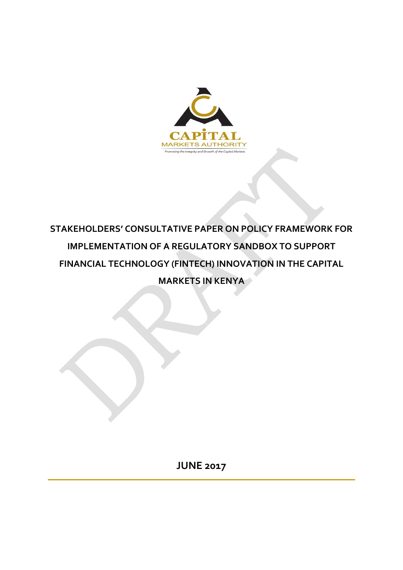

# **STAKEHOLDERS' CONSULTATIVE PAPER ON POLICY FRAMEWORK FOR IMPLEMENTATION OF A REGULATORY SANDBOX TO SUPPORT FINANCIAL TECHNOLOGY (FINTECH) INNOVATION IN THE CAPITAL MARKETS IN KENYA**

**JUNE 2017**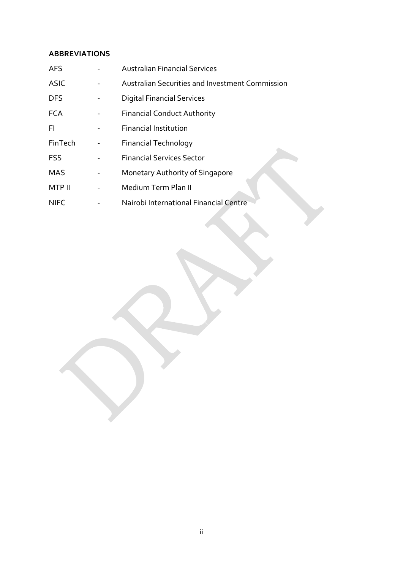# **ABBREVIATIONS**

| <b>AFS</b>  | <b>Australian Financial Services</b>                   |
|-------------|--------------------------------------------------------|
| <b>ASIC</b> | <b>Australian Securities and Investment Commission</b> |
| <b>DFS</b>  | <b>Digital Financial Services</b>                      |
| <b>FCA</b>  | <b>Financial Conduct Authority</b>                     |
| FI.         | <b>Financial Institution</b>                           |
| FinTech     | Financial Technology                                   |
| <b>FSS</b>  | <b>Financial Services Sector</b>                       |
| <b>MAS</b>  | Monetary Authority of Singapore                        |
| MTP II      | Medium Term Plan II                                    |
| <b>NIFC</b> | Nairobi International Financial Centre                 |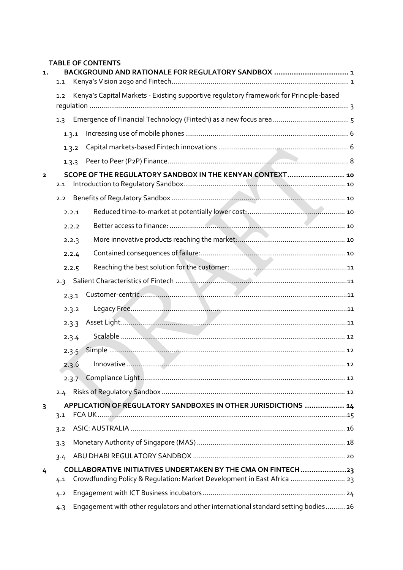#### **TABLE OF CONTENTS**

| 1.                      | BACKGROUND AND RATIONALE FOR REGULATORY SANDBOX  1<br>1.1                                                                                       |  |
|-------------------------|-------------------------------------------------------------------------------------------------------------------------------------------------|--|
|                         | Kenya's Capital Markets - Existing supportive regulatory framework for Principle-based<br>1.2                                                   |  |
|                         | 1.3                                                                                                                                             |  |
|                         | 1.3.1                                                                                                                                           |  |
|                         | 1.3.2                                                                                                                                           |  |
|                         | 1.3.3                                                                                                                                           |  |
| $\overline{\mathbf{2}}$ | SCOPE OF THE REGULATORY SANDBOX IN THE KENYAN CONTEXT 10<br>2.1                                                                                 |  |
|                         | 2.2                                                                                                                                             |  |
|                         | 2.2.1                                                                                                                                           |  |
|                         | 2.2.2                                                                                                                                           |  |
|                         | 2.2.3                                                                                                                                           |  |
|                         | 2.2.4                                                                                                                                           |  |
|                         | 2.2.5                                                                                                                                           |  |
|                         | 2.3                                                                                                                                             |  |
|                         | 2.3.1                                                                                                                                           |  |
|                         | 2.3.2                                                                                                                                           |  |
|                         | 2.3.3                                                                                                                                           |  |
|                         | 2.3.4                                                                                                                                           |  |
|                         | 2.3.5                                                                                                                                           |  |
|                         | 2.3.6                                                                                                                                           |  |
|                         |                                                                                                                                                 |  |
|                         | 2.4                                                                                                                                             |  |
| 3                       | APPLICATION OF REGULATORY SANDBOXES IN OTHER JURISDICTIONS  14<br>3.1                                                                           |  |
|                         | 3.2                                                                                                                                             |  |
|                         | 3.3                                                                                                                                             |  |
|                         | 3.4                                                                                                                                             |  |
| 4                       | COLLABORATIVE INITIATIVES UNDERTAKEN BY THE CMA ON FINTECH 23<br>Crowdfunding Policy & Regulation: Market Development in East Africa  23<br>4.1 |  |
|                         | 4.2                                                                                                                                             |  |
|                         | Engagement with other regulators and other international standard setting bodies 26<br>4.3                                                      |  |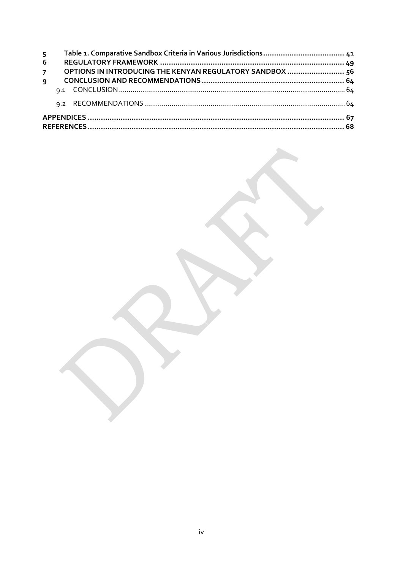| 5 <sup>7</sup><br>6 |                                                          |  |
|---------------------|----------------------------------------------------------|--|
| $\overline{7}$      | OPTIONS IN INTRODUCING THE KENYAN REGULATORY SANDBOX  56 |  |
| $\overline{9}$      |                                                          |  |
|                     |                                                          |  |
|                     |                                                          |  |
|                     |                                                          |  |
|                     |                                                          |  |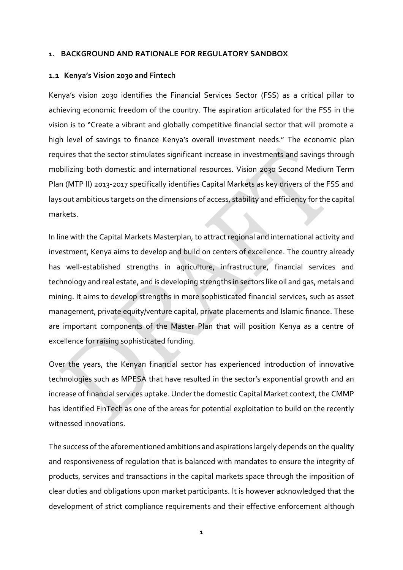#### <span id="page-4-0"></span>**1. BACKGROUND AND RATIONALE FOR REGULATORY SANDBOX**

#### <span id="page-4-1"></span>**1.1 Kenya's Vision 2030 and Fintech**

Kenya's vision 2030 identifies the Financial Services Sector (FSS) as a critical pillar to achieving economic freedom of the country. The aspiration articulated for the FSS in the vision is to "Create a vibrant and globally competitive financial sector that will promote a high level of savings to finance Kenya's overall investment needs." The economic plan requires that the sector stimulates significant increase in investments and savings through mobilizing both domestic and international resources. Vision 2030 Second Medium Term Plan (MTP II) 2013-2017 specifically identifies Capital Markets as key drivers of the FSS and lays out ambitious targets on the dimensions of access, stability and efficiency for the capital markets.

In line with the Capital Markets Masterplan, to attract regional and international activity and investment, Kenya aims to develop and build on centers of excellence. The country already has well-established strengths in agriculture, infrastructure, financial services and technology and real estate, and is developing strengths in sectors like oil and gas, metals and mining. It aims to develop strengths in more sophisticated financial services, such as asset management, private equity/venture capital, private placements and Islamic finance. These are important components of the Master Plan that will position Kenya as a centre of excellence for raising sophisticated funding.

Over the years, the Kenyan financial sector has experienced introduction of innovative technologies such as MPESA that have resulted in the sector's exponential growth and an increase of financial services uptake. Under the domestic Capital Market context, the CMMP has identified FinTech as one of the areas for potential exploitation to build on the recently witnessed innovations.

The success of the aforementioned ambitions and aspirations largely depends on the quality and responsiveness of regulation that is balanced with mandates to ensure the integrity of products, services and transactions in the capital markets space through the imposition of clear duties and obligations upon market participants. It is however acknowledged that the development of strict compliance requirements and their effective enforcement although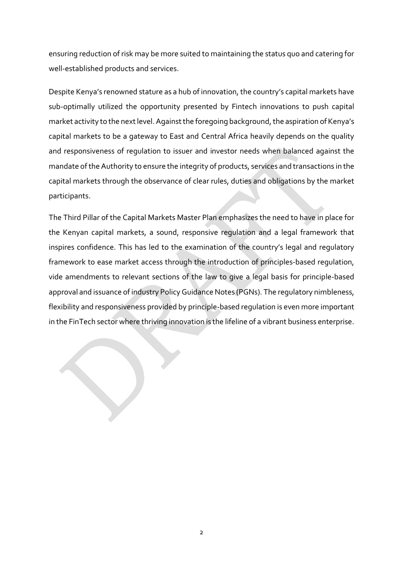ensuring reduction of risk may be more suited to maintaining the status quo and catering for well-established products and services.

Despite Kenya's renowned stature as a hub of innovation, the country's capital markets have sub-optimally utilized the opportunity presented by Fintech innovations to push capital market activity to the next level. Against the foregoing background, the aspiration of Kenya's capital markets to be a gateway to East and Central Africa heavily depends on the quality and responsiveness of regulation to issuer and investor needs when balanced against the mandate of the Authority to ensure the integrity of products, services and transactions in the capital markets through the observance of clear rules, duties and obligations by the market participants.

The Third Pillar of the Capital Markets Master Plan emphasizes the need to have in place for the Kenyan capital markets, a sound, responsive regulation and a legal framework that inspires confidence. This has led to the examination of the country's legal and regulatory framework to ease market access through the introduction of principles-based regulation, vide amendments to relevant sections of the law to give a legal basis for principle-based approval and issuance of industry Policy Guidance Notes (PGNs). The regulatory nimbleness, flexibility and responsiveness provided by principle-based regulation is even more important in the FinTech sector where thriving innovation is the lifeline of a vibrant business enterprise.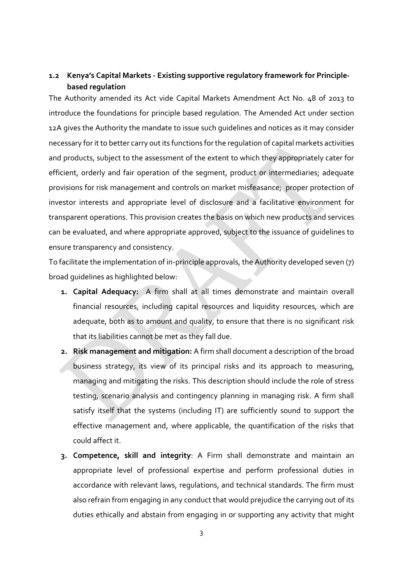## <span id="page-6-0"></span>**1.2 Kenya's Capital Markets - Existing supportive regulatory framework for Principlebased regulation**

The Authority amended its Act vide Capital Markets Amendment Act No. 48 of 2013 to introduce the foundations for principle based regulation. The Amended Act under section 12A gives the Authority the mandate to issue such guidelines and notices as it may consider necessary for it to better carry out its functions for the regulation of capital markets activities and products, subject to the assessment of the extent to which they appropriately cater for efficient, orderly and fair operation of the segment, product or intermediaries; adequate provisions for risk management and controls on market misfeasance; proper protection of investor interests and appropriate level of disclosure and a facilitative environment for transparent operations. This provision creates the basis on which new products and services can be evaluated, and where appropriate approved, subject to the issuance of guidelines to ensure transparency and consistency.

To facilitate the implementation of in-principle approvals, the Authority developed seven (7) broad guidelines as highlighted below:

- **1. Capital Adequacy:** A firm shall at all times demonstrate and maintain overall financial resources, including capital resources and liquidity resources, which are adequate, both as to amount and quality, to ensure that there is no significant risk that its liabilities cannot be met as they fall due.
- **2. Risk management and mitigation:** A firm shall document a description of the broad business strategy, its view of its principal risks and its approach to measuring, managing and mitigating the risks. This description should include the role of stress testing, scenario analysis and contingency planning in managing risk. A firm shall satisfy itself that the systems (including IT) are sufficiently sound to support the effective management and, where applicable, the quantification of the risks that could affect it.
- **3. Competence, skill and integrity**: A Firm shall demonstrate and maintain an appropriate level of professional expertise and perform professional duties in accordance with relevant laws, regulations, and technical standards. The firm must also refrain from engaging in any conduct that would prejudice the carrying out of its duties ethically and abstain from engaging in or supporting any activity that might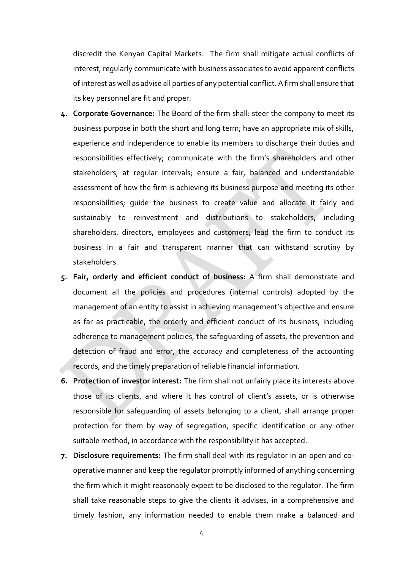discredit the Kenyan Capital Markets. The firm shall mitigate actual conflicts of interest, regularly communicate with business associates to avoid apparent conflicts of interest as well as advise all parties of any potential conflict. A firm shall ensure that its key personnel are fit and proper.

- **4. Corporate Governance:** The Board of the firm shall: steer the company to meet its business purpose in both the short and long term; have an appropriate mix of skills, experience and independence to enable its members to discharge their duties and responsibilities effectively; communicate with the firm's shareholders and other stakeholders, at regular intervals; ensure a fair, balanced and understandable assessment of how the firm is achieving its business purpose and meeting its other responsibilities; guide the business to create value and allocate it fairly and sustainably to reinvestment and distributions to stakeholders, including shareholders, directors, employees and customers; lead the firm to conduct its business in a fair and transparent manner that can withstand scrutiny by stakeholders.
- **5. Fair, orderly and efficient conduct of business:** A firm shall demonstrate and document all the policies and procedures (internal controls) adopted by the management of an entity to assist in achieving management's objective and ensure as far as practicable, the orderly and efficient conduct of its business, including adherence to management policies, the safeguarding of assets, the prevention and detection of fraud and error, the accuracy and completeness of the accounting records, and the timely preparation of reliable financial information.
- **6. Protection of investor interest:** The firm shall not unfairly place its interests above those of its clients, and where it has control of client's assets, or is otherwise responsible for safeguarding of assets belonging to a client, shall arrange proper protection for them by way of segregation, specific identification or any other suitable method, in accordance with the responsibility it has accepted.
- **7. Disclosure requirements:** The firm shall deal with its regulator in an open and cooperative manner and keep the regulator promptly informed of anything concerning the firm which it might reasonably expect to be disclosed to the regulator. The firm shall take reasonable steps to give the clients it advises, in a comprehensive and timely fashion, any information needed to enable them make a balanced and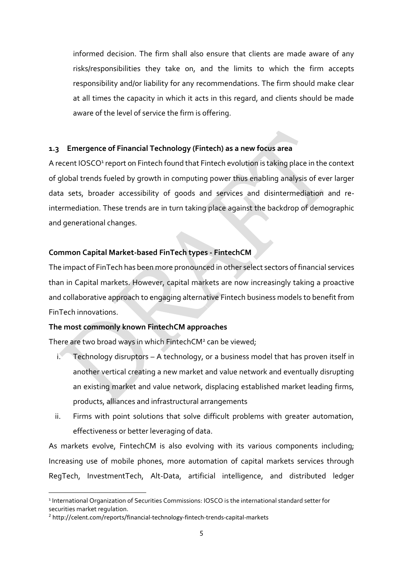informed decision. The firm shall also ensure that clients are made aware of any risks/responsibilities they take on, and the limits to which the firm accepts responsibility and/or liability for any recommendations. The firm should make clear at all times the capacity in which it acts in this regard, and clients should be made aware of the level of service the firm is offering.

## <span id="page-8-0"></span>**1.3 Emergence of Financial Technology (Fintech) as a new focus area**

A recent IOSCO<sup>1</sup> report on Fintech found that Fintech evolution is taking place in the context of global trends fueled by growth in computing power thus enabling analysis of ever larger data sets, broader accessibility of goods and services and disintermediation and reintermediation. These trends are in turn taking place against the backdrop of demographic and generational changes.

## **Common Capital Market-based FinTech types - FintechCM**

The impact of FinTech has been more pronounced in other select sectors of financial services than in Capital markets. However, capital markets are now increasingly taking a proactive and collaborative approach to engaging alternative Fintech business models to benefit from FinTech innovations.

#### **The most commonly known FintechCM approaches**

There are two broad ways in which FintechCM<sup>2</sup> can be viewed;

- i. Technology disruptors A technology, or a business model that has proven itself in another vertical creating a new market and value network and eventually disrupting an existing market and value network, displacing established market leading firms, products, alliances and infrastructural arrangements
- ii. Firms with point solutions that solve difficult problems with greater automation, effectiveness or better leveraging of data.

As markets evolve, FintechCM is also evolving with its various components including; Increasing use of mobile phones, more automation of capital markets services through RegTech, InvestmentTech, Alt-Data, artificial intelligence, and distributed ledger

**.** 

<sup>&</sup>lt;sup>1</sup> International Organization of Securities Commissions: IOSCO is the international standard setter for securities market regulation.

<sup>2</sup> http://celent.com/reports/financial-technology-fintech-trends-capital-markets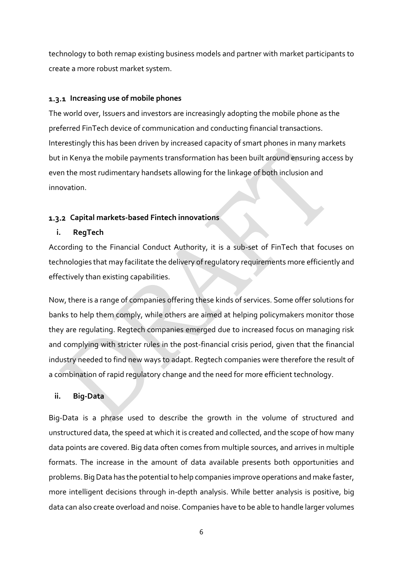technology to both remap existing business models and partner with market participants to create a more robust market system.

## <span id="page-9-0"></span>**Increasing use of mobile phones**

The world over, Issuers and investors are increasingly adopting the mobile phone as the preferred FinTech device of communication and conducting financial transactions. Interestingly this has been driven by increased capacity of smart phones in many markets but in Kenya the mobile payments transformation has been built around ensuring access by even the most rudimentary handsets allowing for the linkage of both inclusion and innovation.

## <span id="page-9-1"></span>**Capital markets-based Fintech innovations**

#### **i. RegTech**

According to the Financial Conduct Authority, it is a sub-set of FinTech that focuses on technologies that may facilitate the delivery of regulatory requirements more efficiently and effectively than existing capabilities.

Now, there is a range of companies offering these kinds of services. Some offer solutions for banks to help them comply, while others are aimed at helping policymakers monitor those they are regulating. Regtech companies emerged due to increased focus on managing risk and complying with stricter rules in the post-financial crisis period, given that the financial industry needed to find new ways to adapt. Regtech companies were therefore the result of a combination of rapid regulatory change and the need for more efficient technology.

#### **ii. Big-Data**

Big-Data is a phrase used to describe the growth in the volume of structured and unstructured data, the speed at which it is created and collected, and the scope of how many data points are covered. Big data often comes from multiple sources, and arrives in multiple formats. The increase in the amount of data available presents both opportunities and problems. Big Data has the potential to help companies improve operations and make faster, more intelligent decisions through in-depth analysis. While better analysis is positive, big data can also create overload and noise. Companies have to be able to handle larger volumes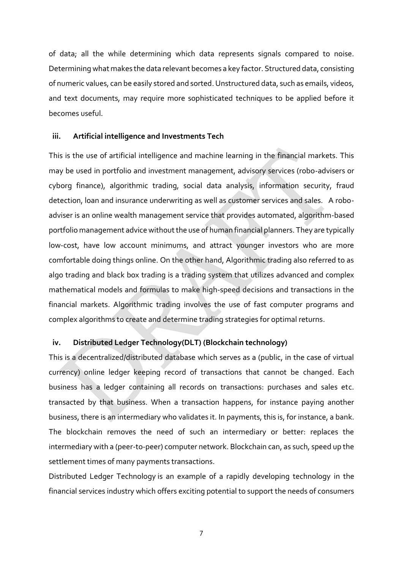of data; all the while determining which data represents signals compared to noise. Determining what makes the data relevant becomes a key factor. Structured data, consisting of numeric values, can be easily stored and sorted. Unstructured data, such as emails, videos, and text documents, may require more sophisticated techniques to be applied before it becomes useful.

#### **iii. Artificial intelligence and Investments Tech**

This is the use of artificial intelligence and machine learning in the financial markets. This may be used in portfolio and investment management, advisory services (robo-advisers or cyborg finance), algorithmic trading, social data analysis, information security, fraud detection, loan and insurance underwriting as well as customer services and sales. A roboadviser is an online wealth management service that provides automated, algorithm-based portfolio management advice without the use of human financial planners. They are typically low-cost, have low account minimums, and attract younger investors who are more comfortable doing things online. On the other hand, Algorithmic trading also referred to as algo trading and black box trading is a trading system that utilizes advanced and complex mathematical models and formulas to make high-speed decisions and transactions in the financial markets. Algorithmic trading involves the use of fast computer programs and complex algorithms to create and determine trading strategies for optimal returns.

#### **iv. Distributed Ledger Technology(DLT) (Blockchain technology)**

This is a decentralized/distributed database which serves as a (public, in the case of virtual currency) online ledger keeping record of transactions that cannot be changed. Each business has a ledger containing all records on transactions: purchases and sales etc. transacted by that business. When a transaction happens, for instance paying another business, there is an intermediary who validates it. In payments, this is, for instance, a bank. The blockchain removes the need of such an intermediary or better: replaces the intermediary with a (peer-to-peer) computer network. Blockchain can, as such, speed up the settlement times of many payments transactions.

Distributed Ledger Technology is an example of a rapidly developing technology in the financial services industry which offers exciting potential to support the needs of consumers

7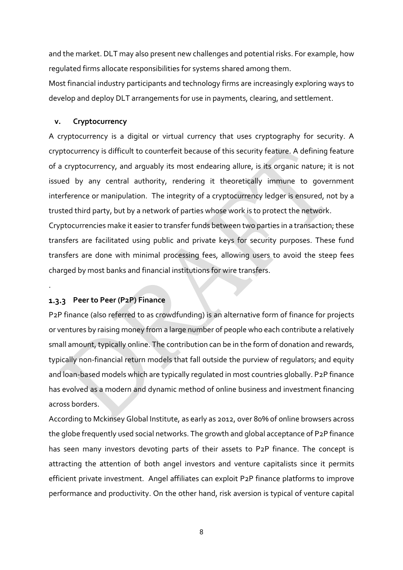and the market. DLT may also present new challenges and potential risks. For example, how regulated firms allocate responsibilities for systems shared among them.

Most financial industry participants and technology firms are increasingly exploring ways to develop and deploy DLT arrangements for use in payments, clearing, and settlement.

#### **v. Cryptocurrency**

A cryptocurrency is a digital or virtual currency that uses cryptography for security. A cryptocurrency is difficult to counterfeit because of this security feature. A defining feature of a cryptocurrency, and arguably its most endearing allure, is its organic nature; it is not issued by any central authority, rendering it theoretically immune to government interference or manipulation. The integrity of a cryptocurrency ledger is ensured, not by a trusted third party, but by a network of parties whose work is to protect the network.

Cryptocurrencies make it easier to transfer funds between two parties in a transaction; these transfers are facilitated using public and private keys for security purposes. These fund transfers are done with minimal processing fees, allowing users to avoid the steep fees charged by most banks and financial institutions for wire transfers.

#### <span id="page-11-0"></span>**Peer to Peer (P2P) Finance**

.

P2P finance (also referred to as crowdfunding) is an alternative form of finance for projects or ventures by raising money from a large number of people who each contribute a relatively small amount, typically online. The contribution can be in the form of donation and rewards, typically non-financial return models that fall outside the purview of regulators; and equity and loan-based models which are typically regulated in most countries globally. P2P finance has evolved as a modern and dynamic method of online business and investment financing across borders.

According to Mckinsey Global Institute, as early as 2012, over 80% of online browsers across the globe frequently used social networks. The growth and global acceptance of P2P finance has seen many investors devoting parts of their assets to P2P finance. The concept is attracting the attention of both angel investors and venture capitalists since it permits efficient private investment. Angel affiliates can exploit P2P finance platforms to improve performance and productivity. On the other hand, risk aversion is typical of venture capital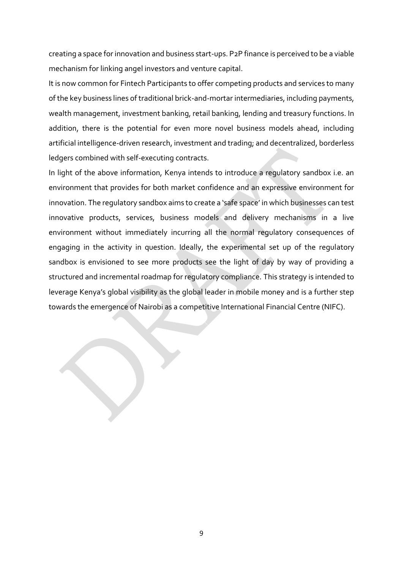creating a space for innovation and business start-ups. P2P finance is perceived to be a viable mechanism for linking angel investors and venture capital.

It is now common for Fintech Participants to offer competing products and services to many of the key business lines of traditional brick-and-mortar intermediaries, including payments, wealth management, investment banking, retail banking, lending and treasury functions. In addition, there is the potential for even more novel business models ahead, including artificial intelligence-driven research, investment and trading; and decentralized, borderless ledgers combined with self-executing contracts.

In light of the above information, Kenya intends to introduce a regulatory sandbox i.e. an environment that provides for both market confidence and an expressive environment for innovation. The regulatory sandbox aims to create a 'safe space' in which businesses can test innovative products, services, business models and delivery mechanisms in a live environment without immediately incurring all the normal regulatory consequences of engaging in the activity in question. Ideally, the experimental set up of the regulatory sandbox is envisioned to see more products see the light of day by way of providing a structured and incremental roadmap for regulatory compliance. This strategy is intended to leverage Kenya's global visibility as the global leader in mobile money and is a further step towards the emergence of Nairobi as a competitive International Financial Centre (NIFC).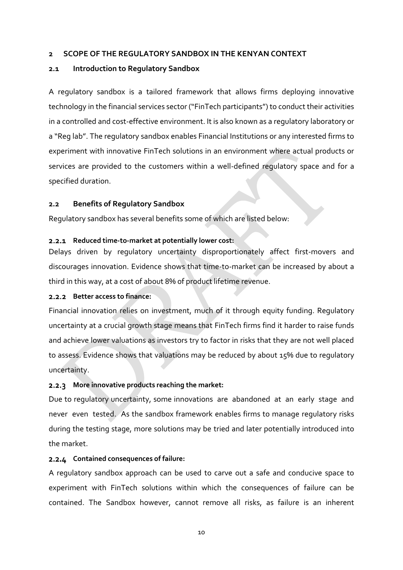#### <span id="page-13-0"></span>**2 SCOPE OF THE REGULATORY SANDBOX IN THE KENYAN CONTEXT**

#### <span id="page-13-1"></span>**2.1 Introduction to Regulatory Sandbox**

A regulatory sandbox is a tailored framework that allows firms deploying innovative technology in the financial services sector ("FinTech participants") to conduct their activities in a controlled and cost-effective environment. It is also known as a regulatory laboratory or a "Reg lab". The regulatory sandbox enables Financial Institutions or any interested firms to experiment with innovative FinTech solutions in an environment where actual products or services are provided to the customers within a well-defined regulatory space and for a specified duration.

#### <span id="page-13-2"></span>**2.2 Benefits of Regulatory Sandbox**

Regulatory sandbox has several benefits some of which are listed below:

#### <span id="page-13-3"></span>**Reduced time-to-market at potentially lower cost:**

Delays driven by regulatory uncertainty disproportionately affect first-movers and discourages innovation. Evidence shows that time-to-market can be increased by about a third in this way, at a cost of about 8% of product lifetime revenue.

#### <span id="page-13-4"></span>**Better access to finance:**

Financial innovation relies on investment, much of it through equity funding. Regulatory uncertainty at a crucial growth stage means that FinTech firms find it harder to raise funds and achieve lower valuations as investors try to factor in risks that they are not well placed to assess. Evidence shows that valuations may be reduced by about 15% due to regulatory uncertainty.

#### <span id="page-13-5"></span>**More innovative products reaching the market:**

Due to regulatory uncertainty, some innovations are abandoned at an early stage and never even tested. As the sandbox framework enables firms to manage regulatory risks during the testing stage, more solutions may be tried and later potentially introduced into the market.

#### <span id="page-13-6"></span>**Contained consequences of failure:**

A regulatory sandbox approach can be used to carve out a safe and conducive space to experiment with FinTech solutions within which the consequences of failure can be contained. The Sandbox however, cannot remove all risks, as failure is an inherent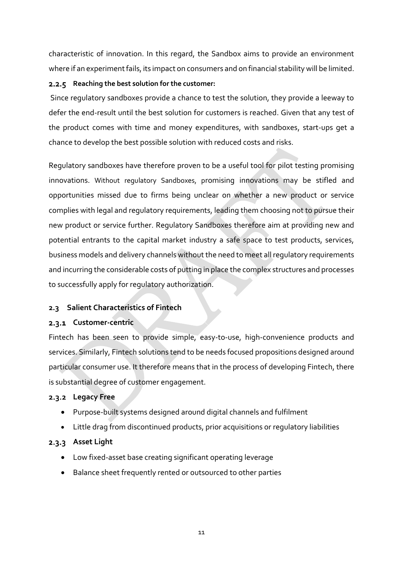characteristic of innovation. In this regard, the Sandbox aims to provide an environment where if an experiment fails, its impact on consumers and on financial stability will be limited.

#### <span id="page-14-0"></span>**Reaching the best solution for the customer:**

Since regulatory sandboxes provide a chance to test the solution, they provide a leeway to defer the end-result until the best solution for customers is reached. Given that any test of the product comes with time and money expenditures, with sandboxes, start-ups get a chance to develop the best possible solution with reduced costs and risks.

Regulatory sandboxes have therefore proven to be a useful tool for pilot testing promising innovations. Without regulatory Sandboxes, promising innovations may be stifled and opportunities missed due to firms being unclear on whether a new product or service complies with legal and regulatory requirements, leading them choosing not to pursue their new product or service further. Regulatory Sandboxes therefore aim at providing new and potential entrants to the capital market industry a safe space to test products, services, business models and delivery channels without the need to meet all regulatory requirements and incurring the considerable costs of putting in place the complex structures and processes to successfully apply for regulatory authorization.

## <span id="page-14-1"></span>**2.3 Salient Characteristics of Fintech**

#### <span id="page-14-2"></span>**Customer-centric**

Fintech has been seen to provide simple, easy-to-use, high-convenience products and services. Similarly, Fintech solutions tend to be needs focused propositions designed around particular consumer use. It therefore means that in the process of developing Fintech, there is substantial degree of customer engagement.

## <span id="page-14-3"></span>**Legacy Free**

- Purpose-built systems designed around digital channels and fulfilment
- Little drag from discontinued products, prior acquisitions or regulatory liabilities

## <span id="page-14-4"></span>2.3.3 Asset Light

- Low fixed-asset base creating significant operating leverage
- Balance sheet frequently rented or outsourced to other parties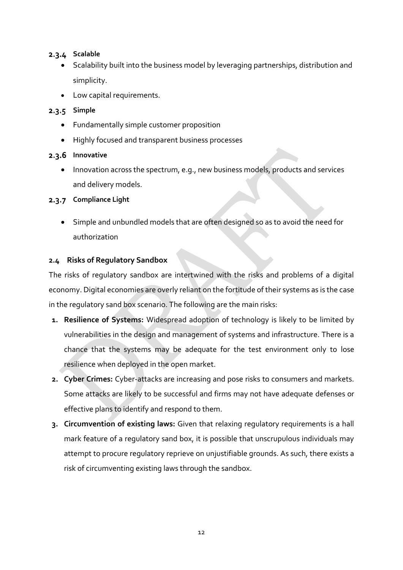#### <span id="page-15-0"></span>2.3.4 Scalable

- Scalability built into the business model by leveraging partnerships, distribution and simplicity.
- Low capital requirements.

## <span id="page-15-1"></span>**2.3.5 Simple**

- Fundamentally simple customer proposition
- Highly focused and transparent business processes

#### <span id="page-15-2"></span>2.3.6 Innovative

• Innovation across the spectrum, e.g., new business models, products and services and delivery models.

## <span id="page-15-3"></span>2.3.7 Compliance Light

 Simple and unbundled models that are often designed so as to avoid the need for authorization

## <span id="page-15-4"></span>**2.4 Risks of Regulatory Sandbox**

The risks of regulatory sandbox are intertwined with the risks and problems of a digital economy. Digital economies are overly reliant on the fortitude of their systems as is the case in the regulatory sand box scenario. The following are the main risks:

- **1. Resilience of Systems:** Widespread adoption of technology is likely to be limited by vulnerabilities in the design and management of systems and infrastructure. There is a chance that the systems may be adequate for the test environment only to lose resilience when deployed in the open market.
- **2. Cyber Crimes:** Cyber-attacks are increasing and pose risks to consumers and markets. Some attacks are likely to be successful and firms may not have adequate defenses or effective plans to identify and respond to them.
- **3. Circumvention of existing laws:** Given that relaxing regulatory requirements is a hall mark feature of a regulatory sand box, it is possible that unscrupulous individuals may attempt to procure regulatory reprieve on unjustifiable grounds. As such, there exists a risk of circumventing existing laws through the sandbox.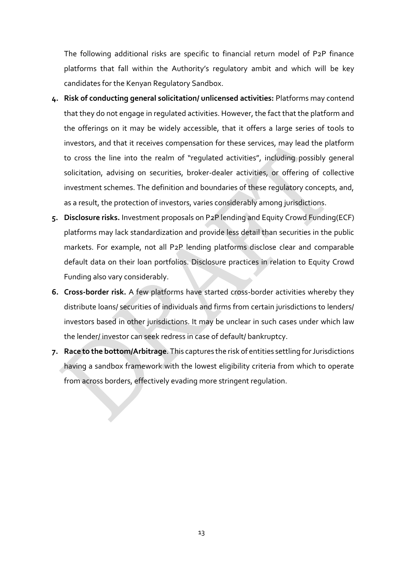The following additional risks are specific to financial return model of P2P finance platforms that fall within the Authority's regulatory ambit and which will be key candidates for the Kenyan Regulatory Sandbox.

- **4. Risk of conducting general solicitation/ unlicensed activities:** Platforms may contend that they do not engage in regulated activities. However, the fact that the platform and the offerings on it may be widely accessible, that it offers a large series of tools to investors, and that it receives compensation for these services, may lead the platform to cross the line into the realm of "regulated activities", including possibly general solicitation, advising on securities, broker-dealer activities, or offering of collective investment schemes. The definition and boundaries of these regulatory concepts, and, as a result, the protection of investors, varies considerably among jurisdictions.
- **5. Disclosure risks.** Investment proposals on P2P lending and Equity Crowd Funding(ECF) platforms may lack standardization and provide less detail than securities in the public markets. For example, not all P2P lending platforms disclose clear and comparable default data on their loan portfolios. Disclosure practices in relation to Equity Crowd Funding also vary considerably.
- **6. Cross-border risk.** A few platforms have started cross-border activities whereby they distribute loans/ securities of individuals and firms from certain jurisdictions to lenders/ investors based in other jurisdictions. It may be unclear in such cases under which law the lender/ investor can seek redress in case of default/ bankruptcy.
- **7. Race to the bottom/Arbitrage**. This captures the risk of entities settling for Jurisdictions having a sandbox framework with the lowest eligibility criteria from which to operate from across borders, effectively evading more stringent regulation.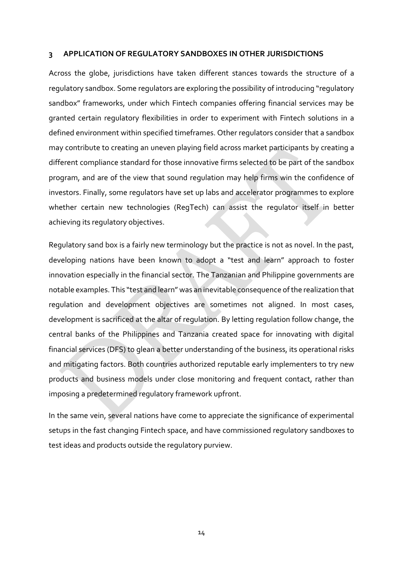#### <span id="page-17-0"></span>**3 APPLICATION OF REGULATORY SANDBOXES IN OTHER JURISDICTIONS**

Across the globe, jurisdictions have taken different stances towards the structure of a regulatory sandbox. Some regulators are exploring the possibility of introducing "regulatory sandbox" frameworks, under which Fintech companies offering financial services may be granted certain regulatory flexibilities in order to experiment with Fintech solutions in a defined environment within specified timeframes. Other regulators consider that a sandbox may contribute to creating an uneven playing field across market participants by creating a different compliance standard for those innovative firms selected to be part of the sandbox program, and are of the view that sound regulation may help firms win the confidence of investors. Finally, some regulators have set up labs and accelerator programmes to explore whether certain new technologies (RegTech) can assist the regulator itself in better achieving its regulatory objectives.

Regulatory sand box is a fairly new terminology but the practice is not as novel. In the past, developing nations have been known to adopt a "test and learn" approach to foster innovation especially in the financial sector. The Tanzanian and Philippine governments are notable examples. This "test and learn" was an inevitable consequence of the realization that regulation and development objectives are sometimes not aligned. In most cases, development is sacrificed at the altar of regulation. By letting regulation follow change, the central banks of the Philippines and Tanzania created space for innovating with digital financial services (DFS) to glean a better understanding of the business, its operational risks and mitigating factors. Both countries authorized reputable early implementers to try new products and business models under close monitoring and frequent contact, rather than imposing a predetermined regulatory framework upfront.

In the same vein, several nations have come to appreciate the significance of experimental setups in the fast changing Fintech space, and have commissioned regulatory sandboxes to test ideas and products outside the regulatory purview.

14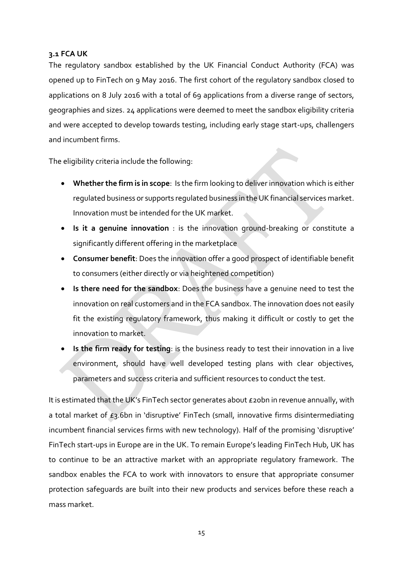## <span id="page-18-0"></span>**3.1 FCA UK**

The regulatory sandbox established by the UK Financial Conduct Authority (FCA) was opened up to FinTech on 9 May 2016. The first cohort of the regulatory sandbox closed to applications on 8 July 2016 with a total of 69 applications from a diverse range of sectors, geographies and sizes. 24 applications were deemed to meet the sandbox eligibility criteria and were accepted to develop towards testing, including early stage start-ups, challengers and incumbent firms.

The eligibility criteria include the following:

- **Whether the firm is in scope**: Is the firm looking to deliver innovation which is either regulated business or supports regulated business in the UK financial services market. Innovation must be intended for the UK market.
- **Is it a genuine innovation** : is the innovation ground-breaking or constitute a significantly different offering in the marketplace
- **Consumer benefit**: Does the innovation offer a good prospect of identifiable benefit to consumers (either directly or via heightened competition)
- **Is there need for the sandbox**: Does the business have a genuine need to test the innovation on real customers and in the FCA sandbox. The innovation does not easily fit the existing regulatory framework, thus making it difficult or costly to get the innovation to market.
- **Is the firm ready for testing**: is the business ready to test their innovation in a live environment, should have well developed testing plans with clear objectives, parameters and success criteria and sufficient resources to conduct the test.

It is estimated that the UK's FinTech sector generates about £20bn in revenue annually, with a total market of  $E_3$ .6bn in 'disruptive' FinTech (small, innovative firms disintermediating incumbent financial services firms with new technology). Half of the promising 'disruptive' FinTech start-ups in Europe are in the UK. To remain Europe's leading FinTech Hub, UK has to continue to be an attractive market with an appropriate regulatory framework. The sandbox enables the FCA to work with innovators to ensure that appropriate consumer protection safeguards are built into their new products and services before these reach a mass market.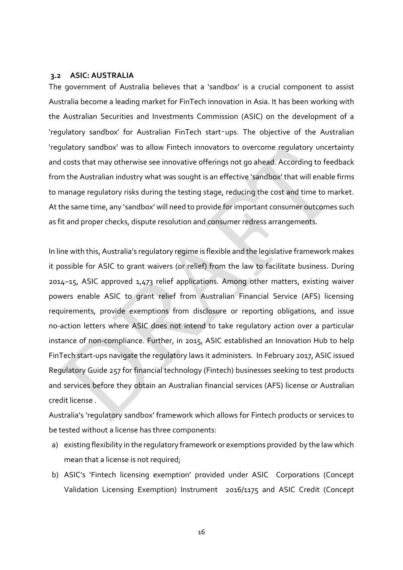#### <span id="page-19-0"></span>**3.2 ASIC: AUSTRALIA**

The government of Australia believes that a 'sandbox' is a crucial component to assist Australia become a leading market for FinTech innovation in Asia. It has been working with the Australian Securities and Investments Commission (ASIC) on the development of a 'regulatory sandbox' for Australian FinTech start‑ups. The objective of the Australian 'regulatory sandbox' was to allow Fintech innovators to overcome regulatory uncertainty and costs that may otherwise see innovative offerings not go ahead. According to feedback from the Australian industry what was sought is an effective 'sandbox' that will enable firms to manage regulatory risks during the testing stage, reducing the cost and time to market. At the same time, any 'sandbox' will need to provide for important consumer outcomes such as fit and proper checks, dispute resolution and consumer redress arrangements.

In line with this, Australia's regulatory regime is flexible and the legislative framework makes it possible for ASIC to grant waivers (or relief) from the law to facilitate business. During 2014–15, ASIC approved 1,473 relief applications. Among other matters, existing waiver powers enable ASIC to grant relief from Australian Financial Service (AFS) licensing requirements, provide exemptions from disclosure or reporting obligations, and issue no-action letters where ASIC does not intend to take regulatory action over a particular instance of non-compliance. Further, in 2015, ASIC established an Innovation Hub to help FinTech start-ups navigate the regulatory laws it administers. In February 2017, ASIC issued Regulatory Guide 257 for financial technology (Fintech) businesses seeking to test products and services before they obtain an Australian financial services (AFS) license or Australian credit license .

Australia's 'regulatory sandbox' framework which allows for Fintech products or services to be tested without a license has three components:

- a) existing flexibility in the regulatory framework or exemptions provided by the law which mean that a license is not required;
- b) ASIC's 'Fintech licensing exemption' provided under ASIC Corporations (Concept Validation Licensing Exemption) Instrument 2016/1175 and ASIC Credit (Concept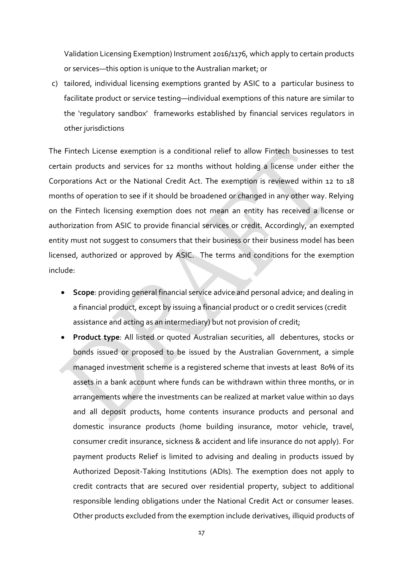Validation Licensing Exemption) Instrument 2016/1176, which apply to certain products or services—this option is unique to the Australian market; or

c) tailored, individual licensing exemptions granted by ASIC to a particular business to facilitate product or service testing—individual exemptions of this nature are similar to the 'regulatory sandbox' frameworks established by financial services regulators in other jurisdictions

The Fintech License exemption is a conditional relief to allow Fintech businesses to test certain products and services for 12 months without holding a license under either the Corporations Act or the National Credit Act. The exemption is reviewed within 12 to 18 months of operation to see if it should be broadened or changed in any other way. Relying on the Fintech licensing exemption does not mean an entity has received a license or authorization from ASIC to provide financial services or credit. Accordingly, an exempted entity must not suggest to consumers that their business or their business model has been licensed, authorized or approved by ASIC. The terms and conditions for the exemption include:

- **Scope**: providing general financial service advice and personal advice; and dealing in a financial product, except by issuing a financial product or o credit services (credit assistance and acting as an intermediary) but not provision of credit;
- **Product type**: All listed or quoted Australian securities, all debentures, stocks or bonds issued or proposed to be issued by the Australian Government, a simple managed investment scheme is a registered scheme that invests at least 80% of its assets in a bank account where funds can be withdrawn within three months, or in arrangements where the investments can be realized at market value within 10 days and all deposit products, home contents insurance products and personal and domestic insurance products (home building insurance, motor vehicle, travel, consumer credit insurance, sickness & accident and life insurance do not apply). For payment products Relief is limited to advising and dealing in products issued by Authorized Deposit-Taking Institutions (ADIs). The exemption does not apply to credit contracts that are secured over residential property, subject to additional responsible lending obligations under the National Credit Act or consumer leases. Other products excluded from the exemption include derivatives, illiquid products of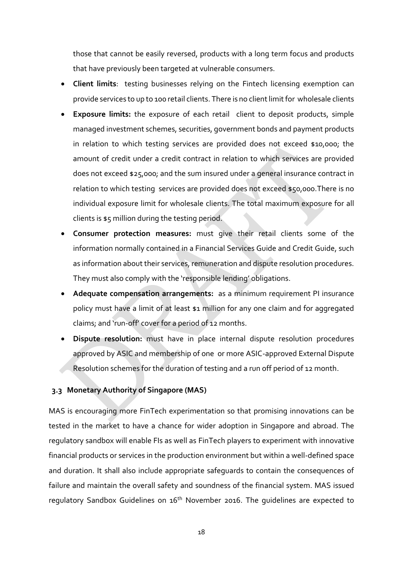those that cannot be easily reversed, products with a long term focus and products that have previously been targeted at vulnerable consumers.

- **Client limits**: testing businesses relying on the Fintech licensing exemption can provide services to up to 100 retail clients. There is no client limit for wholesale clients
- **Exposure limits:** the exposure of each retail client to deposit products, simple managed investment schemes, securities, government bonds and payment products in relation to which testing services are provided does not exceed \$10,000; the amount of credit under a credit contract in relation to which services are provided does not exceed \$25,000; and the sum insured under a general insurance contract in relation to which testing services are provided does not exceed \$50,000.There is no individual exposure limit for wholesale clients. The total maximum exposure for all clients is \$5 million during the testing period.
- **Consumer protection measures:** must give their retail clients some of the information normally contained in a Financial Services Guide and Credit Guide, such as information about their services, remuneration and dispute resolution procedures. They must also comply with the 'responsible lending' obligations.
- **Adequate compensation arrangements:** as a minimum requirement PI insurance policy must have a limit of at least \$1 million for any one claim and for aggregated claims; and 'run-off' cover for a period of 12 months.
- **Dispute resolution:** must have in place internal dispute resolution procedures approved by ASIC and membership of one or more ASIC-approved External Dispute Resolution schemes for the duration of testing and a run off period of 12 month.

#### <span id="page-21-0"></span>**3.3 Monetary Authority of Singapore (MAS)**

MAS is encouraging more FinTech experimentation so that promising innovations can be tested in the market to have a chance for wider adoption in Singapore and abroad. The regulatory sandbox will enable FIs as well as FinTech players to experiment with innovative financial products or services in the production environment but within a well-defined space and duration. It shall also include appropriate safeguards to contain the consequences of failure and maintain the overall safety and soundness of the financial system. MAS issued regulatory Sandbox Guidelines on 16<sup>th</sup> November 2016. The guidelines are expected to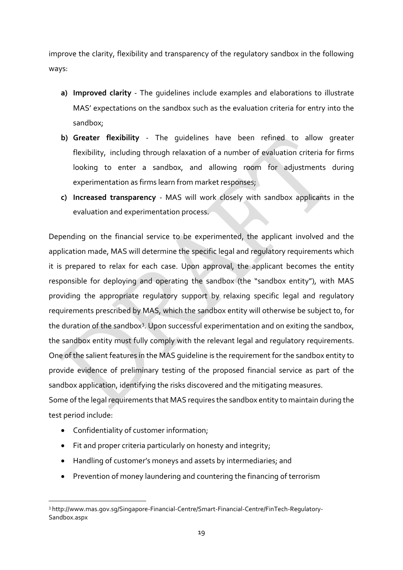improve the clarity, flexibility and transparency of the regulatory sandbox in the following ways:

- **a) Improved clarity** The guidelines include examples and elaborations to illustrate MAS' expectations on the sandbox such as the evaluation criteria for entry into the sandbox;
- **b) Greater flexibility** The guidelines have been refined to allow greater flexibility, including through relaxation of a number of evaluation criteria for firms looking to enter a sandbox, and allowing room for adjustments during experimentation as firms learn from market responses;
- **c) Increased transparency** MAS will work closely with sandbox applicants in the evaluation and experimentation process.

Depending on the financial service to be experimented, the applicant involved and the application made, MAS will determine the specific legal and regulatory requirements which it is prepared to relax for each case. Upon approval, the applicant becomes the entity responsible for deploying and operating the sandbox (the "sandbox entity"), with MAS providing the appropriate regulatory support by relaxing specific legal and regulatory requirements prescribed by MAS, which the sandbox entity will otherwise be subject to, for the duration of the sandbox<sup>3</sup>. Upon successful experimentation and on exiting the sandbox, the sandbox entity must fully comply with the relevant legal and regulatory requirements. One of the salient features in the MAS guideline is the requirement for the sandbox entity to provide evidence of preliminary testing of the proposed financial service as part of the sandbox application, identifying the risks discovered and the mitigating measures. Some of the legal requirements that MAS requires the sandbox entity to maintain during the

test period include:

1

- Confidentiality of customer information;
- Fit and proper criteria particularly on honesty and integrity;
- Handling of customer's moneys and assets by intermediaries; and
- Prevention of money laundering and countering the financing of terrorism

<sup>3</sup> http://www.mas.gov.sg/Singapore-Financial-Centre/Smart-Financial-Centre/FinTech-Regulatory-Sandbox.aspx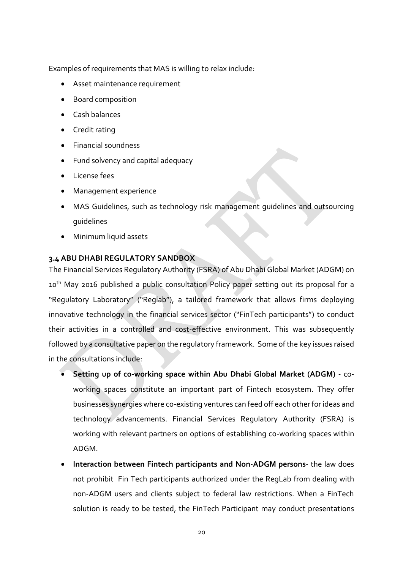Examples of requirements that MAS is willing to relax include:

- Asset maintenance requirement
- Board composition
- Cash balances
- Credit rating
- Financial soundness
- Fund solvency and capital adequacy
- License fees
- Management experience
- MAS Guidelines, such as technology risk management guidelines and outsourcing guidelines
- Minimum liquid assets

## <span id="page-23-0"></span>**3.4 ABU DHABI REGULATORY SANDBOX**

The Financial Services Regulatory Authority (FSRA) of Abu Dhabi Global Market (ADGM) on 10<sup>th</sup> May 2016 published a public consultation Policy paper setting out its proposal for a "Regulatory Laboratory" ("Reglab"), a tailored framework that allows firms deploying innovative technology in the financial services sector ("FinTech participants") to conduct their activities in a controlled and cost-effective environment. This was subsequently followed by a consultative paper on the regulatory framework. Some of the key issues raised in the consultations include:

- **Setting up of co-working space within Abu Dhabi Global Market (ADGM)** coworking spaces constitute an important part of Fintech ecosystem. They offer businesses synergies where co-existing ventures can feed off each other for ideas and technology advancements. Financial Services Regulatory Authority (FSRA) is working with relevant partners on options of establishing co-working spaces within ADGM.
- **Interaction between Fintech participants and Non-ADGM persons** the law does not prohibit Fin Tech participants authorized under the RegLab from dealing with non-ADGM users and clients subject to federal law restrictions. When a FinTech solution is ready to be tested, the FinTech Participant may conduct presentations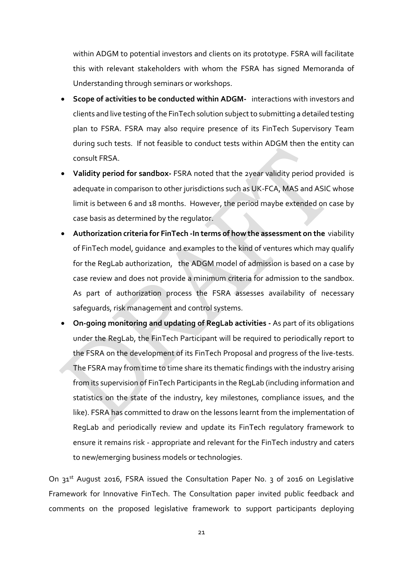within ADGM to potential investors and clients on its prototype. FSRA will facilitate this with relevant stakeholders with whom the FSRA has signed Memoranda of Understanding through seminars or workshops.

- **Scope of activities to be conducted within ADGM-** interactions with investors and clients and live testing of the FinTech solution subject to submitting a detailed testing plan to FSRA. FSRA may also require presence of its FinTech Supervisory Team during such tests. If not feasible to conduct tests within ADGM then the entity can consult FRSA.
- **Validity period for sandbox-** FSRA noted that the 2year validity period provided is adequate in comparison to other jurisdictions such as UK-FCA, MAS and ASIC whose limit is between 6 and 18 months. However, the period maybe extended on case by case basis as determined by the regulator.
- **Authorization criteria for FinTech -In terms of how the assessment on the** viability of FinTech model, guidance and examples to the kind of ventures which may qualify for the RegLab authorization, the ADGM model of admission is based on a case by case review and does not provide a minimum criteria for admission to the sandbox. As part of authorization process the FSRA assesses availability of necessary safeguards, risk management and control systems.
- **On-going monitoring and updating of RegLab activities -** As part of its obligations under the RegLab, the FinTech Participant will be required to periodically report to the FSRA on the development of its FinTech Proposal and progress of the live‐tests. The FSRA may from time to time share its thematic findings with the industry arising from its supervision of FinTech Participants in the RegLab (including information and statistics on the state of the industry, key milestones, compliance issues, and the like). FSRA has committed to draw on the lessons learnt from the implementation of RegLab and periodically review and update its FinTech regulatory framework to ensure it remains risk - appropriate and relevant for the FinTech industry and caters to new/emerging business models or technologies.

On 31<sup>st</sup> August 2016, FSRA issued the Consultation Paper No. 3 of 2016 on Legislative Framework for Innovative FinTech. The Consultation paper invited public feedback and comments on the proposed legislative framework to support participants deploying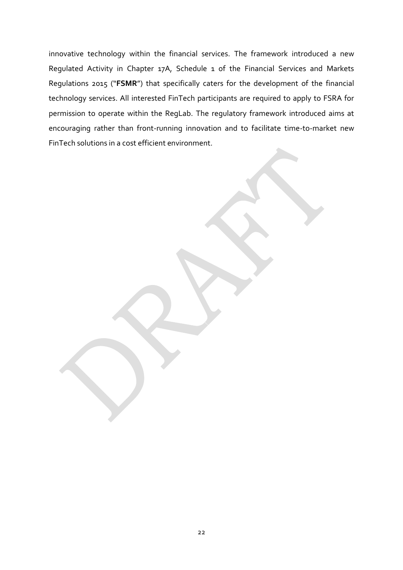innovative technology within the financial services. The framework introduced a new Regulated Activity in Chapter 17A, Schedule 1 of the Financial Services and Markets Regulations 2015 ("**FSMR**") that specifically caters for the development of the financial technology services. All interested FinTech participants are required to apply to FSRA for permission to operate within the RegLab. The regulatory framework introduced aims at encouraging rather than front-running innovation and to facilitate time-to-market new FinTech solutions in a cost efficient environment.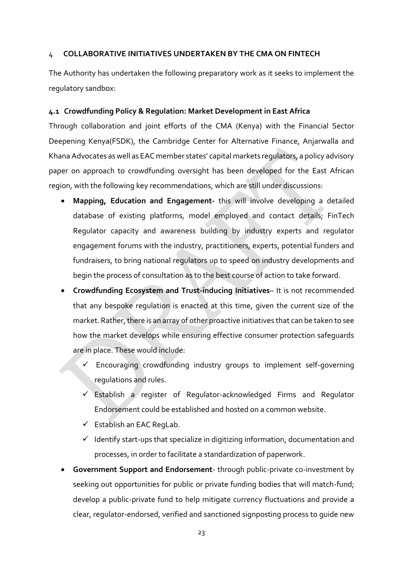#### <span id="page-26-0"></span>4 **COLLABORATIVE INITIATIVES UNDERTAKEN BY THE CMA ON FINTECH**

The Authority has undertaken the following preparatory work as it seeks to implement the regulatory sandbox:

#### <span id="page-26-1"></span>**4.1 Crowdfunding Policy & Regulation: Market Development in East Africa**

Through collaboration and joint efforts of the CMA (Kenya) with the Financial Sector Deepening Kenya(FSDK), the Cambridge Center for Alternative Finance, Anjarwalla and Khana Advocates as well as EAC member states' capital markets regulators, a policy advisory paper on approach to crowdfunding oversight has been developed for the East African region, with the following key recommendations, which are still under discussions:

- **Mapping, Education and Engagement-** this will involve developing a detailed database of existing platforms, model employed and contact details; FinTech Regulator capacity and awareness building by industry experts and regulator engagement forums with the industry, practitioners, experts, potential funders and fundraisers, to bring national regulators up to speed on industry developments and begin the process of consultation as to the best course of action to take forward.
- **Crowdfunding Ecosystem and Trust-inducing Initiatives** It is not recommended that any bespoke regulation is enacted at this time, given the current size of the market. Rather, there is an array of other proactive initiatives that can be taken to see how the market develops while ensuring effective consumer protection safeguards are in place. These would include:
	- $\checkmark$  Encouraging crowdfunding industry groups to implement self-governing regulations and rules.
	- $\checkmark$  Establish a register of Regulator-acknowledged Firms and Regulator Endorsement could be established and hosted on a common website.
	- $\checkmark$  Establish an EAC RegLab.
	- $\checkmark$  Identify start-ups that specialize in digitizing information, documentation and processes, in order to facilitate a standardization of paperwork.
- **Government Support and Endorsement** through public-private co-investment by seeking out opportunities for public or private funding bodies that will match-fund; develop a public-private fund to help mitigate currency fluctuations and provide a clear, regulator-endorsed, verified and sanctioned signposting process to guide new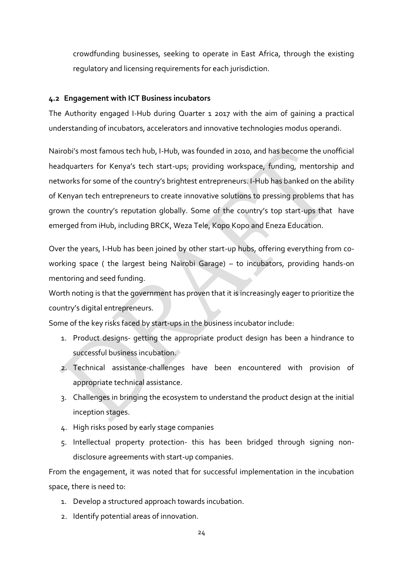crowdfunding businesses, seeking to operate in East Africa, through the existing regulatory and licensing requirements for each jurisdiction.

#### <span id="page-27-0"></span>**4.2 Engagement with ICT Business incubators**

The Authority engaged I-Hub during Quarter 1 2017 with the aim of gaining a practical understanding of incubators, accelerators and innovative technologies modus operandi.

Nairobi's most famous tech hub, I-Hub, was founded in 2010, and has become the unofficial headquarters for Kenya's tech start-ups; providing workspace, funding, mentorship and networks for some of the country's brightest entrepreneurs. I-Hub has banked on the ability of Kenyan tech entrepreneurs to create innovative solutions to pressing problems that has grown the country's reputation globally. Some of the country's top start-ups that have emerged from iHub, including BRCK, Weza Tele, Kopo Kopo and Eneza Education.

Over the years, I-Hub has been joined by other start-up hubs, offering everything from coworking space ( the largest being Nairobi Garage) – to incubators, providing hands-on mentoring and seed funding.

Worth noting is that the government has proven that it is increasingly eager to prioritize the country's digital entrepreneurs.

Some of the key risks faced by start-ups in the business incubator include:

- 1. Product designs- getting the appropriate product design has been a hindrance to successful business incubation.
- 2. Technical assistance-challenges have been encountered with provision of appropriate technical assistance.
- 3. Challenges in bringing the ecosystem to understand the product design at the initial inception stages.
- 4. High risks posed by early stage companies
- 5. Intellectual property protection- this has been bridged through signing nondisclosure agreements with start-up companies.

From the engagement, it was noted that for successful implementation in the incubation space, there is need to:

- 1. Develop a structured approach towards incubation.
- 2. Identify potential areas of innovation.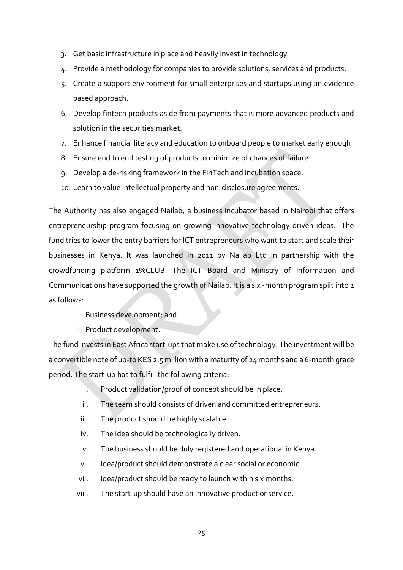- 3. Get basic infrastructure in place and heavily invest in technology
- 4. Provide a methodology for companies to provide solutions, services and products.
- 5. Create a support environment for small enterprises and startups using an evidence based approach.
- 6. Develop fintech products aside from payments that is more advanced products and solution in the securities market.
- 7. Enhance financial literacy and education to onboard people to market early enough
- 8. Ensure end to end testing of products to minimize of chances of failure.
- 9. Develop a de-risking framework in the FinTech and incubation space.
- 10. Learn to value intellectual property and non-disclosure agreements.

The Authority has also engaged Nailab, a business incubator based in Nairobi that offers entrepreneurship program focusing on growing innovative technology driven ideas. The fund tries to lower the entry barriers for ICT entrepreneurs who want to start and scale their businesses in Kenya. It was launched in 2011 by Nailab Ltd in partnership with the crowdfunding platform [1%CLUB.](https://en.wikipedia.org/wiki/1%25CLUB) The ICT Board and [Ministry of Information and](https://en.wikipedia.org/wiki/Ministry_of_Information_and_Communications_(Kenya))  [Communications](https://en.wikipedia.org/wiki/Ministry_of_Information_and_Communications_(Kenya)) have supported the growth of Nailab. It is a six -month program spilt into 2 as follows:

- i. Business development; and
- ii. Product development.

The fund invests in East Africa start-ups that make use of technology. The investment will be a convertible note of up-to KES 2.5 million with a maturity of 24 months and a 6-month grace period. The start-up has to fulfill the following criteria:

- i. Product validation/proof of concept should be in place.
- ii. The team should consists of driven and committed entrepreneurs.
- iii. The product should be highly scalable.
- iv. The idea should be technologically driven.
- v. The business should be duly registered and operational in Kenya.
- vi. Idea/product should demonstrate a clear social or economic.
- vii. Idea/product should be ready to launch within six months.
- viii. The start-up should have an innovative product or service.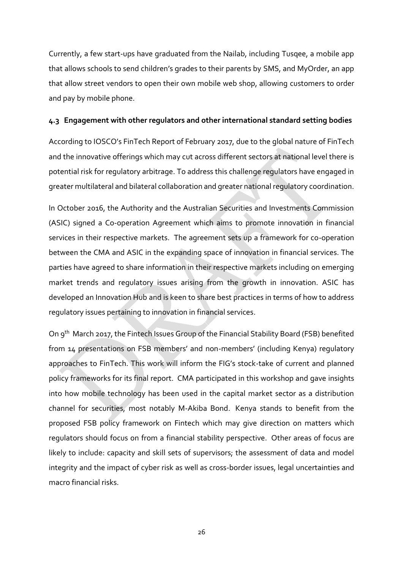Currently, a few start-ups have graduated from the Nailab, including Tusqee, a mobile app that allows schools to send children's grades to their parents by [SMS,](https://en.wikipedia.org/wiki/Short_Message_Service) and MyOrder, an app that allow street vendors to open their own mobile web shop, allowing customers to order and pay by mobile phone.

#### <span id="page-29-0"></span>**4.3 Engagement with other regulators and other international standard setting bodies**

According to IOSCO's FinTech Report of February 2017, due to the global nature of FinTech and the innovative offerings which may cut across different sectors at national level there is potential risk for regulatory arbitrage. To address this challenge regulators have engaged in greater multilateral and bilateral collaboration and greater national regulatory coordination.

In October 2016, the Authority and the Australian Securities and Investments Commission (ASIC) signed a Co-operation Agreement which aims to promote innovation in financial services in their respective markets. The agreement sets up a framework for co-operation between the CMA and ASIC in the expanding space of innovation in financial services. The parties have agreed to share information in their respective markets including on emerging market trends and regulatory issues arising from the growth in innovation. ASIC has developed an Innovation Hub and is keen to share best practices in terms of how to address regulatory issues pertaining to innovation in financial services.

On 9th March 2017, the Fintech Issues Group of the Financial Stability Board (FSB) benefited from 14 presentations on FSB members' and non-members' (including Kenya) regulatory approaches to FinTech. This work will inform the FIG's stock-take of current and planned policy frameworks for its final report. CMA participated in this workshop and gave insights into how mobile technology has been used in the capital market sector as a distribution channel for securities, most notably M-Akiba Bond. Kenya stands to benefit from the proposed FSB policy framework on Fintech which may give direction on matters which regulators should focus on from a financial stability perspective. Other areas of focus are likely to include: capacity and skill sets of supervisors; the assessment of data and model integrity and the impact of cyber risk as well as cross-border issues, legal uncertainties and macro financial risks.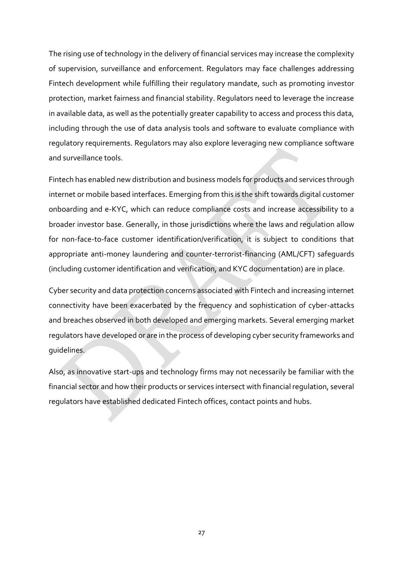The rising use of technology in the delivery of financial services may increase the complexity of supervision, surveillance and enforcement. Regulators may face challenges addressing Fintech development while fulfilling their regulatory mandate, such as promoting investor protection, market fairness and financial stability. Regulators need to leverage the increase in available data, as well as the potentially greater capability to access and process this data, including through the use of data analysis tools and software to evaluate compliance with regulatory requirements. Regulators may also explore leveraging new compliance software and surveillance tools.

Fintech has enabled new distribution and business models for products and services through internet or mobile based interfaces. Emerging from this is the shift towards digital customer onboarding and e-KYC, which can reduce compliance costs and increase accessibility to a broader investor base. Generally, in those jurisdictions where the laws and regulation allow for non-face-to-face customer identification/verification, it is subject to conditions that appropriate anti-money laundering and counter-terrorist-financing (AML/CFT) safeguards (including customer identification and verification, and KYC documentation) are in place.

Cyber security and data protection concerns associated with Fintech and increasing internet connectivity have been exacerbated by the frequency and sophistication of cyber-attacks and breaches observed in both developed and emerging markets. Several emerging market regulators have developed or are in the process of developing cyber security frameworks and guidelines.

Also, as innovative start-ups and technology firms may not necessarily be familiar with the financial sector and how their products or services intersect with financial regulation, several regulators have established dedicated Fintech offices, contact points and hubs.

27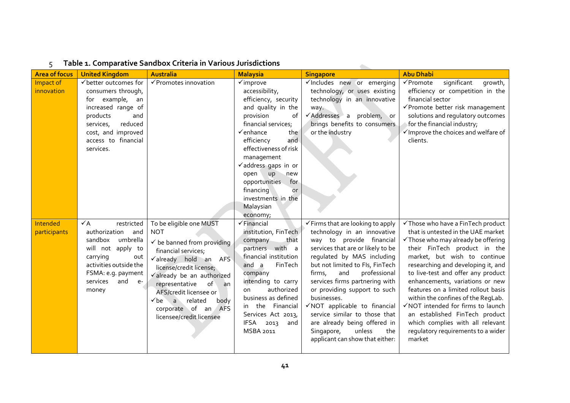<span id="page-31-0"></span>

|                          | 5<br>Table 1. Comparative Sandbox Criteria in Various Jurisdictions                                                                                                                                  |                                                                                                                                                                                                                                                                                                                                       |                                                                                                                                                                                                                                                                                                                                                                        |                                                                                                                                                                                                                                                                                                                                                                                                                                                                                                    |                                                                                                                                                                                                                                                                                                                                                                                                                                                                                                                                                  |
|--------------------------|------------------------------------------------------------------------------------------------------------------------------------------------------------------------------------------------------|---------------------------------------------------------------------------------------------------------------------------------------------------------------------------------------------------------------------------------------------------------------------------------------------------------------------------------------|------------------------------------------------------------------------------------------------------------------------------------------------------------------------------------------------------------------------------------------------------------------------------------------------------------------------------------------------------------------------|----------------------------------------------------------------------------------------------------------------------------------------------------------------------------------------------------------------------------------------------------------------------------------------------------------------------------------------------------------------------------------------------------------------------------------------------------------------------------------------------------|--------------------------------------------------------------------------------------------------------------------------------------------------------------------------------------------------------------------------------------------------------------------------------------------------------------------------------------------------------------------------------------------------------------------------------------------------------------------------------------------------------------------------------------------------|
| <b>Area of focus</b>     | <b>United Kingdom</b>                                                                                                                                                                                | <b>Australia</b>                                                                                                                                                                                                                                                                                                                      | <b>Malaysia</b>                                                                                                                                                                                                                                                                                                                                                        | <b>Singapore</b>                                                                                                                                                                                                                                                                                                                                                                                                                                                                                   | <b>Abu Dhabi</b>                                                                                                                                                                                                                                                                                                                                                                                                                                                                                                                                 |
| Impact of<br>innovation  | √ better outcomes for<br>consumers through,<br>example,<br>for<br>an<br>increased range of<br>products<br>and<br>reduced<br>services,<br>cost, and improved<br>access to financial<br>services.      | ✔ Promotes innovation                                                                                                                                                                                                                                                                                                                 | $\checkmark$ improve<br>accessibility,<br>efficiency, security<br>and quality in the<br>provision<br>of<br>financial services;<br>$\checkmark$ enhance<br>the<br>and<br>efficiency<br>effectiveness of risk<br>management<br>√address gaps in or<br>open<br><b>up</b><br>new<br>for<br>opportunities<br>financing<br>or<br>investments in the<br>Malaysian<br>economy; | vIncludes new or emerging<br>technology, or uses existing<br>technology in an innovative<br>way.<br>√Addresses a problem, or<br>brings benefits to consumers<br>or the industry                                                                                                                                                                                                                                                                                                                    | significant<br>√Promote<br>growth,<br>efficiency or competition in the<br>financial sector<br>√Promote better risk management<br>solutions and regulatory outcomes<br>for the financial industry;<br>√ Improve the choices and welfare of<br>clients.                                                                                                                                                                                                                                                                                            |
| Intended<br>participants | $\checkmark$ A<br>restricted<br>authorization<br>and<br>sandbox umbrella<br>will not apply to<br>carrying<br>out<br>activities outside the<br>FSMA: e.g. payment<br>services<br>and<br>$e-$<br>money | To be eligible one MUST<br><b>NOT</b><br>$\checkmark$ be banned from providing<br>financial services;<br>valready hold an AFS<br>license/credit license;<br>valready be an authorized<br>of<br>representative<br>an<br>AFS/credit licensee or<br>$\checkmark$ be a related<br>body<br>corporate of an AFS<br>licensee/credit licensee | $\checkmark$ Financial<br>institution, FinTech<br>company<br>that<br>partners with a<br>financial institution<br>FinTech<br>and a<br>company<br>intending to carry<br>authorized<br>on<br>business as defined<br>in the Financial<br>Services Act 2013,<br>$IFSA$ 2013<br>and<br>MSBA 2011                                                                             | $\checkmark$ Firms that are looking to apply<br>technology in an innovative<br>way to provide financial<br>services that are or likely to be<br>regulated by MAS including<br>but not limited to Fls, FinTech<br>firms,<br>and<br>professional<br>services firms partnering with<br>or providing support to such<br>businesses.<br>√NOT applicable to financial<br>service similar to those that<br>are already being offered in<br>unless<br>Singapore,<br>the<br>applicant can show that either: | √Those who have a FinTech product<br>that is untested in the UAE market<br>$\checkmark$ Those who may already be offering<br>their FinTech product in the<br>market, but wish to continue<br>researching and developing it, and<br>to live-test and offer any product<br>enhancements, variations or new<br>features on a limited rollout basis<br>within the confines of the RegLab.<br>√NOT intended for firms to launch<br>an established FinTech product<br>which complies with all relevant<br>regulatory requirements to a wider<br>market |

#### 5 **Table 1. Comparative Sandbox Criteria in Various Jurisdictions**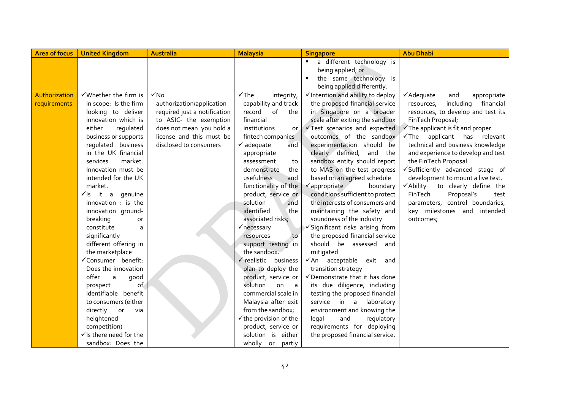| <b>Area of focus</b> | <b>United Kingdom</b>                              | <b>Australia</b>             | <b>Malaysia</b>                                        | <b>Singapore</b>                                              | <b>Abu Dhabi</b>                             |
|----------------------|----------------------------------------------------|------------------------------|--------------------------------------------------------|---------------------------------------------------------------|----------------------------------------------|
|                      |                                                    |                              |                                                        | a different technology is                                     |                                              |
|                      |                                                    |                              |                                                        | being applied; or                                             |                                              |
|                      |                                                    |                              |                                                        | the same technology is                                        |                                              |
|                      |                                                    |                              |                                                        | being applied differently.                                    |                                              |
| Authorization        | √Whether the firm is                               | $\sqrt{N_0}$                 | $\checkmark$ The<br>integrity,                         | √Intention and ability to deploy                              | $\checkmark$ Adequate<br>and<br>appropriate  |
| requirements         | in scope: Is the firm                              | authorization/application    | capability and track                                   | the proposed financial service                                | including<br>financial<br>resources,         |
|                      | looking to deliver                                 | required just a notification | of<br>record<br>the                                    | in Singapore on a broader                                     | resources, to develop and test its           |
|                      | innovation which is                                | to ASIC- the exemption       | financial                                              | scale after exiting the sandbox                               | FinTech Proposal;                            |
|                      | either<br>regulated                                | does not mean you hold a     | institutions<br>or.                                    | √Test scenarios and expected                                  | $\checkmark$ The applicant is fit and proper |
|                      | business or supports                               | license and this must be     | fintech companies                                      | outcomes of the sandbox                                       | $\checkmark$ The applicant has relevant      |
|                      | requlated business                                 | disclosed to consumers       | $\checkmark$ adequate<br>and                           | experimentation should be                                     | technical and business knowledge             |
|                      | in the UK financial                                |                              | appropriate                                            | clearly defined,<br>and<br>the                                | and experience to develop and test           |
|                      | market.<br>services                                |                              | assessment<br>to                                       | sandbox entity should report                                  | the FinTech Proposal                         |
|                      | Innovation must be                                 |                              | the<br>demonstrate                                     | to MAS on the test progress                                   | √Sufficiently advanced stage of              |
|                      | intended for the UK                                |                              | usefulness<br>and                                      | based on an agreed schedule                                   | development to mount a live test.            |
|                      | market.                                            |                              | functionality of the                                   | √appropriate<br>boundary                                      | √Ability<br>to clearly define the            |
|                      | it<br>genuine<br>$\mathsf{a}$<br>√ls               |                              | product, service or                                    | conditions sufficient to protect                              | FinTech<br>Proposal's<br>test                |
|                      | innovation : is the                                |                              | solution<br>and                                        | the interests of consumers and                                | parameters, control boundaries,              |
|                      | innovation ground-                                 |                              | identified<br>the                                      | maintaining the safety and                                    | key milestones and intended                  |
|                      | breaking<br>or                                     |                              | associated risks;                                      | soundness of the industry                                     | outcomes;                                    |
|                      | constitute<br>a                                    |                              | $\checkmark$ necessary                                 | √Significant risks arising from                               |                                              |
|                      | significantly                                      |                              | resources<br>to                                        | the proposed financial service                                |                                              |
|                      | different offering in                              |                              | support testing in                                     | should be assessed and                                        |                                              |
|                      | the marketplace                                    |                              | the sandbox.                                           | mitigated                                                     |                                              |
|                      | √Consumer benefit:                                 |                              | v realistic business                                   | √An acceptable exit<br>and                                    |                                              |
|                      | Does the innovation                                |                              | plan to deploy the                                     | transition strategy                                           |                                              |
|                      | offer<br>a<br>qood                                 |                              | product, service or                                    | √Demonstrate that it has done                                 |                                              |
|                      | of<br>prospect                                     |                              | solution<br>on                                         | its due diligence, including                                  |                                              |
|                      | identifiable benefit                               |                              | commercial scale in                                    | testing the proposed financial                                |                                              |
|                      | to consumers (either                               |                              | Malaysia after exit                                    | service in a laboratory                                       |                                              |
|                      | directly<br>or<br>via                              |                              | from the sandbox;<br>$\checkmark$ the provision of the | environment and knowing the                                   |                                              |
|                      | heightened                                         |                              |                                                        | legal<br>and<br>regulatory                                    |                                              |
|                      | competition)<br>$\checkmark$ Is there need for the |                              | product, service or<br>solution is either              | requirements for deploying<br>the proposed financial service. |                                              |
|                      | sandbox: Does the                                  |                              |                                                        |                                                               |                                              |
|                      |                                                    |                              | wholly or partly                                       |                                                               |                                              |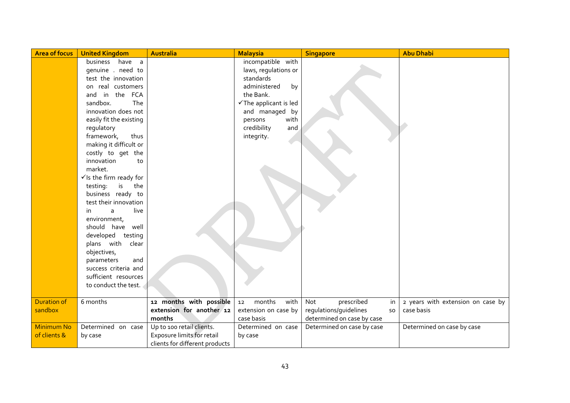| <b>Area of focus</b> | <b>United Kingdom</b>              | <b>Australia</b>               | <b>Malaysia</b>       | <b>Singapore</b>                    | <b>Abu Dhabi</b>                  |
|----------------------|------------------------------------|--------------------------------|-----------------------|-------------------------------------|-----------------------------------|
|                      | have a<br>business                 |                                | incompatible with     |                                     |                                   |
|                      | genuine . need to                  |                                | laws, regulations or  |                                     |                                   |
|                      | test the innovation                |                                | standards             |                                     |                                   |
|                      | on real customers                  |                                | administered<br>by    |                                     |                                   |
|                      | in the FCA<br>and                  |                                | the Bank.             |                                     |                                   |
|                      | The<br>sandbox.                    |                                | √The applicant is led |                                     |                                   |
|                      | innovation does not                |                                | and managed by        |                                     |                                   |
|                      | easily fit the existing            |                                | with<br>persons       |                                     |                                   |
|                      | regulatory                         |                                | credibility<br>and    |                                     |                                   |
|                      | framework,<br>thus                 |                                | integrity.            |                                     |                                   |
|                      | making it difficult or             |                                |                       |                                     |                                   |
|                      | costly to get the                  |                                |                       |                                     |                                   |
|                      | innovation<br>to                   |                                |                       |                                     |                                   |
|                      | market.                            |                                |                       |                                     |                                   |
|                      | $\checkmark$ Is the firm ready for |                                |                       |                                     |                                   |
|                      | is<br>the<br>testing:              |                                |                       |                                     |                                   |
|                      | business ready to                  |                                |                       |                                     |                                   |
|                      | test their innovation              |                                |                       |                                     |                                   |
|                      | live<br>in<br>a                    |                                |                       |                                     |                                   |
|                      | environment,                       |                                |                       |                                     |                                   |
|                      | should have well                   |                                |                       |                                     |                                   |
|                      | developed testing                  |                                |                       |                                     |                                   |
|                      | plans with<br>clear                |                                |                       |                                     |                                   |
|                      | objectives,                        |                                |                       |                                     |                                   |
|                      | parameters<br>and                  |                                |                       |                                     |                                   |
|                      | success criteria and               |                                |                       |                                     |                                   |
|                      | sufficient resources               |                                |                       |                                     |                                   |
|                      | to conduct the test.               |                                |                       |                                     |                                   |
|                      |                                    |                                |                       |                                     |                                   |
| <b>Duration of</b>   | 6 months                           | 12 months with possible        | months<br>with<br>12  | Not<br>prescribed<br>in             | 2 years with extension on case by |
| sandbox              |                                    | extension for another 12       | extension on case by  | regulations/guidelines<br><b>SO</b> | case basis                        |
|                      |                                    | months                         | case basis            | determined on case by case          |                                   |
| <b>Minimum No</b>    | Determined on case                 | Up to 100 retail clients.      | Determined on case    | Determined on case by case          | Determined on case by case        |
| of clients &         | by case                            | Exposure limits for retail     | by case               |                                     |                                   |
|                      |                                    | clients for different products |                       |                                     |                                   |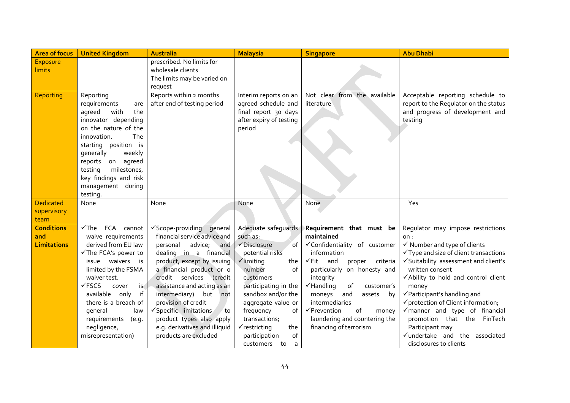| <b>Area of focus</b> | <b>United Kingdom</b>                       | <b>Australia</b>                                       | <b>Malaysia</b>                              | <b>Singapore</b>                                                             | <b>Abu Dhabi</b>                                        |
|----------------------|---------------------------------------------|--------------------------------------------------------|----------------------------------------------|------------------------------------------------------------------------------|---------------------------------------------------------|
| <b>Exposure</b>      |                                             | prescribed. No limits for                              |                                              |                                                                              |                                                         |
| limits               |                                             | wholesale clients                                      |                                              |                                                                              |                                                         |
|                      |                                             | The limits may be varied on                            |                                              |                                                                              |                                                         |
|                      |                                             | request                                                |                                              |                                                                              |                                                         |
| Reporting            | Reporting                                   | Reports within 2 months                                | Interim reports on an                        | Not clear from the available                                                 | Acceptable reporting schedule to                        |
|                      | requirements<br>are                         | after end of testing period                            | agreed schedule and                          | literature                                                                   | report to the Regulator on the status                   |
|                      | the<br>with<br>agreed                       |                                                        | final report 30 days                         |                                                                              | and progress of development and                         |
|                      | innovator depending<br>on the nature of the |                                                        | after expiry of testing<br>period            |                                                                              | testing                                                 |
|                      | The<br>innovation.                          |                                                        |                                              |                                                                              |                                                         |
|                      | starting position is                        |                                                        |                                              |                                                                              |                                                         |
|                      | weekly<br>qenerally                         |                                                        |                                              |                                                                              |                                                         |
|                      | reports on agreed                           |                                                        |                                              |                                                                              |                                                         |
|                      | testing<br>milestones,                      |                                                        |                                              |                                                                              |                                                         |
|                      | key findings and risk                       |                                                        |                                              |                                                                              |                                                         |
|                      | management during                           |                                                        |                                              |                                                                              |                                                         |
|                      | testing.                                    |                                                        |                                              |                                                                              |                                                         |
| <b>Dedicated</b>     | None                                        | None                                                   | None                                         | None                                                                         | Yes                                                     |
| supervisory          |                                             |                                                        |                                              |                                                                              |                                                         |
| team                 |                                             |                                                        |                                              |                                                                              |                                                         |
| <b>Conditions</b>    | <b>FCA</b><br>$\checkmark$ The<br>cannot    | ✔ Scope-providing general                              | Adequate safeguards                          | Requirement that must be                                                     | Regulator may impose restrictions                       |
| and                  | waive requirements                          | financial service advice and                           | such as:                                     | maintained                                                                   | on:                                                     |
| <b>Limitations</b>   | derived from EU law                         | advice;<br>personal<br>and                             | √Disclosure<br>of.                           | √Confidentiality of customer                                                 | $\checkmark$ Number and type of clients                 |
|                      | √The FCA's power to<br>is                   | dealing in a financial                                 | potential risks                              | information                                                                  | √Type and size of client transactions                   |
|                      | waivers<br>issue<br>limited by the FSMA     | product, except by issuing<br>a financial product or o | $\checkmark$ limiting<br>the<br>number<br>of | and<br>criteria<br>$\checkmark$ Fit<br>proper<br>particularly on honesty and | √Suitability assessment and client's<br>written consent |
|                      | waiver test.                                | credit services (credit                                | customers                                    | integrity                                                                    | ✔ Ability to hold and control client                    |
|                      | $\checkmark$ FSCS<br>is<br>cover            | assistance and acting as an                            | participating in the                         | √Handling<br>of<br>customer's                                                | money                                                   |
|                      | if<br>available<br>only                     | intermediary)<br>but<br>not                            | sandbox and/or the                           | moneys<br>and<br>assets<br>by                                                | √Participant's handling and                             |
|                      | there is a breach of                        | provision of credit                                    | aggregate value or                           | intermediaries                                                               | √ protection of Client information;                     |
|                      | law<br>general                              | √Specific limitations<br>to                            | frequency<br>of                              | $\checkmark$ Prevention<br>of<br>money                                       | $\checkmark$ manner and type of financial               |
|                      | requirements<br>(e.g.                       | product types also apply                               | transactions;                                | laundering and countering the                                                | promotion that the<br>FinTech                           |
|                      | negligence,                                 | e.g. derivatives and illiquid                          | $\checkmark$ restricting<br>the              | financing of terrorism                                                       | Participant may                                         |
|                      | misrepresentation)                          | products are excluded                                  | of<br>participation                          |                                                                              | √undertake and the associated                           |
|                      |                                             |                                                        | customers<br>to<br>a                         |                                                                              | disclosures to clients                                  |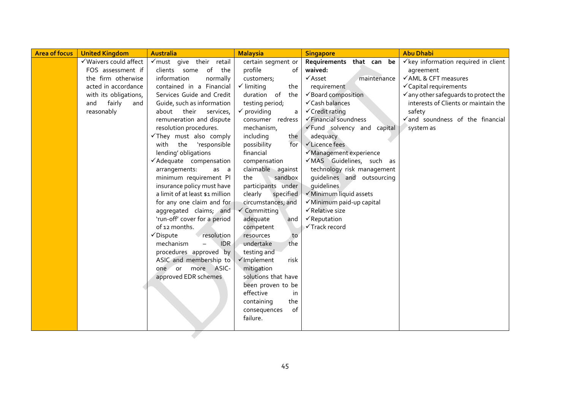| <b>Area of focus</b> | <b>United Kingdom</b>  | <b>Australia</b>                | <b>Malaysia</b>              | <b>Singapore</b>                  | <b>Abu Dhabi</b>                                 |
|----------------------|------------------------|---------------------------------|------------------------------|-----------------------------------|--------------------------------------------------|
|                      | √ Waivers could affect | √must give their retail         | certain segment or           | Requirements that can be          | √key information required in client              |
|                      | FOS assessment if      | clients some of the             | profile<br>of                | waived:                           | agreement                                        |
|                      | the firm otherwise     | normally<br>information         | customers;                   | $\checkmark$ Asset<br>maintenance | √AML & CFT measures                              |
|                      | acted in accordance    | contained in a Financial        | $\checkmark$ limiting<br>the | requirement                       | $\checkmark$ Capital requirements                |
|                      | with its obligations,  | Services Guide and Credit       | duration of<br>the           | ✔ Board composition               | $\checkmark$ any other safeguards to protect the |
|                      | fairly<br>and<br>and   | Guide, such as information      | testing period;              | √ Cash balances                   | interests of Clients or maintain the             |
|                      | reasonably             | about their<br>services,        | $\checkmark$ providing<br>a  | √ Credit rating                   | safety                                           |
|                      |                        | remuneration and dispute        | consumer redress             | √Financial soundness              | and soundness of the financial                   |
|                      |                        | resolution procedures.          | mechanism,                   | √Fund solvency and capital        | system as                                        |
|                      |                        | They must also comply           | including<br>the             | adequacy                          |                                                  |
|                      |                        | with the 'responsible           | for<br>possibility           | <b>√Licence fees</b>              |                                                  |
|                      |                        | lending' obligations            | financial                    | Management experience             |                                                  |
|                      |                        | ✔ Adequate compensation         | compensation                 | √MAS Guidelines, such as          |                                                  |
|                      |                        | arrangements:<br>as a           | claimable against            | technology risk management        |                                                  |
|                      |                        | minimum requirement PI          | the<br>sandbox               | quidelines and outsourcing        |                                                  |
|                      |                        | insurance policy must have      | participants under           | quidelines                        |                                                  |
|                      |                        | a limit of at least \$1 million | clearly specified            | √Minimum liquid assets            |                                                  |
|                      |                        | for any one claim and for       | circumstances; and           | Minimum paid-up capital           |                                                  |
|                      |                        | aggregated claims; and          | ✔ Committing                 | √Relative size                    |                                                  |
|                      |                        | 'run-off' cover for a period    | adequate<br>and              | $\checkmark$ Reputation           |                                                  |
|                      |                        | of 12 months.                   | competent                    | √Track record                     |                                                  |
|                      |                        | √Dispute<br>resolution          | resources<br>to              |                                   |                                                  |
|                      |                        | mechanism<br>IDR.               | undertake<br>the             |                                   |                                                  |
|                      |                        | procedures approved by          | testing and                  |                                   |                                                  |
|                      |                        | ASIC and membership to          | √Implement<br>risk           |                                   |                                                  |
|                      |                        | one or more ASIC-               | mitigation                   |                                   |                                                  |
|                      |                        | approved EDR schemes            | solutions that have          |                                   |                                                  |
|                      |                        |                                 | been proven to be            |                                   |                                                  |
|                      |                        |                                 | effective<br>in              |                                   |                                                  |
|                      |                        |                                 | the<br>containing            |                                   |                                                  |
|                      |                        |                                 | of<br>consequences           |                                   |                                                  |
|                      |                        |                                 | failure.                     |                                   |                                                  |
|                      |                        |                                 |                              |                                   |                                                  |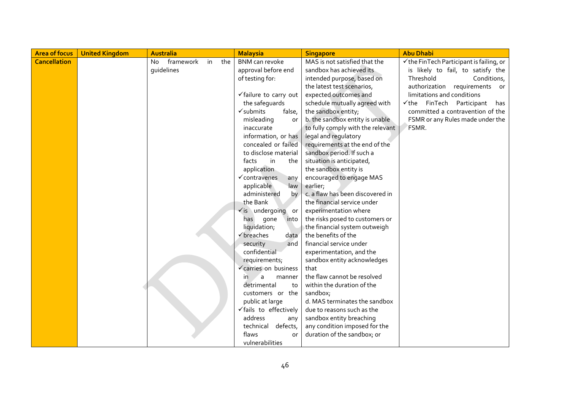| <b>Area of focus</b> | <b>United Kingdom</b> | <b>Australia</b>              | <b>Malaysia</b>                  | <b>Singapore</b>                  | <b>Abu Dhabi</b>                                    |
|----------------------|-----------------------|-------------------------------|----------------------------------|-----------------------------------|-----------------------------------------------------|
| <b>Cancellation</b>  |                       | framework<br>the<br>No.<br>in | <b>BNM</b> can revoke            | MAS is not satisfied that the     | $\checkmark$ the FinTech Participant is failing, or |
|                      |                       | quidelines                    | approval before end              | sandbox has achieved its          | is likely to fail, to satisfy the                   |
|                      |                       |                               | of testing for:                  | intended purpose, based on        | Threshold<br>Conditions,                            |
|                      |                       |                               |                                  | the latest test scenarios,        | authorization requirements or                       |
|                      |                       |                               | √failure to carry out            | expected outcomes and             | limitations and conditions                          |
|                      |                       |                               | the safeguards                   | schedule mutually agreed with     | $\checkmark$ the FinTech Participant<br>has         |
|                      |                       |                               | $\checkmark$ submits<br>false,   | the sandbox entity;               | committed a contravention of the                    |
|                      |                       |                               | misleading<br>or                 | b. the sandbox entity is unable   | FSMR or any Rules made under the                    |
|                      |                       |                               | inaccurate                       | to fully comply with the relevant | FSMR.                                               |
|                      |                       |                               | information, or has              | legal and regulatory              |                                                     |
|                      |                       |                               | concealed or failed              | requirements at the end of the    |                                                     |
|                      |                       |                               | to disclose material             | sandbox period. If such a         |                                                     |
|                      |                       |                               | facts<br>in<br>the               | situation is anticipated,         |                                                     |
|                      |                       |                               | application                      | the sandbox entity is             |                                                     |
|                      |                       |                               | $\checkmark$ contravenes<br>any  | encouraged to engage MAS          |                                                     |
|                      |                       |                               | applicable<br>law                | earlier;                          |                                                     |
|                      |                       |                               | administered<br>by.              | c. a flaw has been discovered in  |                                                     |
|                      |                       |                               | the Bank                         | the financial service under       |                                                     |
|                      |                       |                               | $\checkmark$ is undergoing<br>or | experimentation where             |                                                     |
|                      |                       |                               | has<br>gone<br>into              | the risks posed to customers or   |                                                     |
|                      |                       |                               | liquidation;                     | the financial system outweigh     |                                                     |
|                      |                       |                               | ✔ breaches<br>data               | the benefits of the               |                                                     |
|                      |                       |                               | security<br>and                  | financial service under           |                                                     |
|                      |                       |                               | confidential                     | experimentation, and the          |                                                     |
|                      |                       |                               | requirements;                    | sandbox entity acknowledges       |                                                     |
|                      |                       |                               | √carries on business             | that                              |                                                     |
|                      |                       |                               | in.<br>a<br>manner               | the flaw cannot be resolved       |                                                     |
|                      |                       |                               | detrimental<br>to                | within the duration of the        |                                                     |
|                      |                       |                               | customers or the                 | sandbox;                          |                                                     |
|                      |                       |                               | public at large                  | d. MAS terminates the sandbox     |                                                     |
|                      |                       |                               | √fails to effectively            | due to reasons such as the        |                                                     |
|                      |                       |                               | address<br>any                   | sandbox entity breaching          |                                                     |
|                      |                       |                               | technical<br>defects,            | any condition imposed for the     |                                                     |
|                      |                       |                               | flaws<br>or                      | duration of the sandbox; or       |                                                     |
|                      |                       |                               | vulnerabilities                  |                                   |                                                     |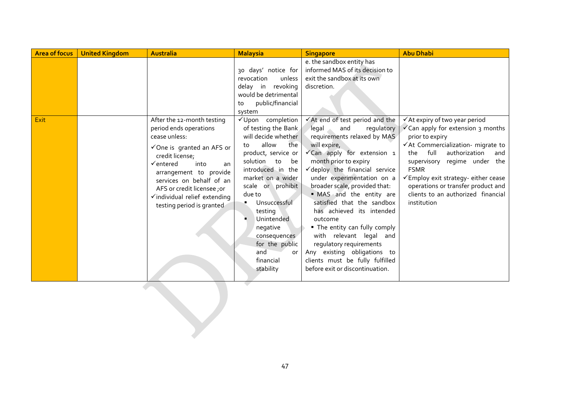| <b>Area of focus</b> | <b>United Kingdom</b> | <b>Australia</b>                                                                                                                                                                                                                                                                                              | <b>Malaysia</b>                                                                                                                                                                                                                                                                                                                         | <b>Singapore</b>                                                                                                                                                                                                                                                                                                                                                                                                                                                                                                                                               | <b>Abu Dhabi</b>                                                                                                                                                                                                                                                                                                                                                |
|----------------------|-----------------------|---------------------------------------------------------------------------------------------------------------------------------------------------------------------------------------------------------------------------------------------------------------------------------------------------------------|-----------------------------------------------------------------------------------------------------------------------------------------------------------------------------------------------------------------------------------------------------------------------------------------------------------------------------------------|----------------------------------------------------------------------------------------------------------------------------------------------------------------------------------------------------------------------------------------------------------------------------------------------------------------------------------------------------------------------------------------------------------------------------------------------------------------------------------------------------------------------------------------------------------------|-----------------------------------------------------------------------------------------------------------------------------------------------------------------------------------------------------------------------------------------------------------------------------------------------------------------------------------------------------------------|
|                      |                       |                                                                                                                                                                                                                                                                                                               | 30 days' notice for<br>revocation<br>unless<br>delay in revoking<br>would be detrimental<br>public/financial<br>to<br>system                                                                                                                                                                                                            | e. the sandbox entity has<br>informed MAS of its decision to<br>exit the sandbox at its own<br>discretion.                                                                                                                                                                                                                                                                                                                                                                                                                                                     |                                                                                                                                                                                                                                                                                                                                                                 |
| Exit                 |                       | After the 12-month testing<br>period ends operations<br>cease unless:<br>√One is granted an AFS or<br>credit license;<br>$\checkmark$ entered<br>into<br>an<br>arrangement to provide<br>services on behalf of an<br>AFS or credit licensee ; or<br>√individual relief extending<br>testing period is granted | √Upon completion<br>of testing the Bank<br>will decide whether<br>allow<br>the<br>to<br>product, service or<br>solution to<br>be<br>introduced in the<br>market on a wider<br>scale or prohibit<br>due to<br>Unsuccessful<br>testing<br>Unintended<br>negative<br>consequences<br>for the public<br>and<br>or<br>financial<br>stability | ✔ At end of test period and the<br>legal<br>requlatory<br>and<br>requirements relaxed by MAS<br>will expire,<br>Can apply for extension 1<br>month prior to expiry<br>√deploy the financial service<br>under experimentation on a<br>broader scale, provided that:<br>. MAS and the entity are<br>satisfied that the sandbox<br>has achieved its intended<br>outcome<br>The entity can fully comply<br>with relevant legal and<br>regulatory requirements<br>Any existing obligations to<br>clients must be fully fulfilled<br>before exit or discontinuation. | ✔ At expiry of two year period<br>$\checkmark$ Can apply for extension 3 months<br>prior to expiry<br>√At Commercialization- migrate to<br>full<br>authorization<br>the<br>and<br>supervisory regime under the<br><b>FSMR</b><br>√Employ exit strategy- either cease<br>operations or transfer product and<br>clients to an authorized financial<br>institution |
|                      |                       |                                                                                                                                                                                                                                                                                                               |                                                                                                                                                                                                                                                                                                                                         |                                                                                                                                                                                                                                                                                                                                                                                                                                                                                                                                                                |                                                                                                                                                                                                                                                                                                                                                                 |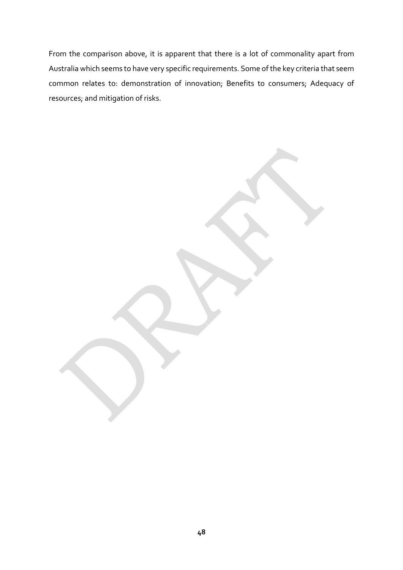From the comparison above, it is apparent that there is a lot of commonality apart from Australia which seems to have very specific requirements. Some of the key criteria that seem common relates to: demonstration of innovation; Benefits to consumers; Adequacy of resources; and mitigation of risks.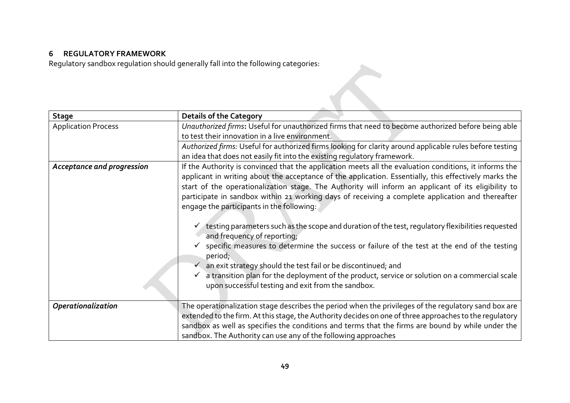# **6 REGULATORY FRAMEWORK**

Regulatory sandbox regulation should generally fall into the following categories:<br>
The following categories:

<span id="page-39-0"></span>

| <b>Stage</b>                      | <b>Details of the Category</b>                                                                                                                                                                                                                                                                                                                                                                                                                                          |
|-----------------------------------|-------------------------------------------------------------------------------------------------------------------------------------------------------------------------------------------------------------------------------------------------------------------------------------------------------------------------------------------------------------------------------------------------------------------------------------------------------------------------|
| <b>Application Process</b>        | Unauthorized firms: Useful for unauthorized firms that need to become authorized before being able                                                                                                                                                                                                                                                                                                                                                                      |
|                                   | to test their innovation in a live environment.                                                                                                                                                                                                                                                                                                                                                                                                                         |
|                                   | Authorized firms: Useful for authorized firms looking for clarity around applicable rules before testing                                                                                                                                                                                                                                                                                                                                                                |
|                                   | an idea that does not easily fit into the existing regulatory framework.                                                                                                                                                                                                                                                                                                                                                                                                |
| <b>Acceptance and progression</b> | If the Authority is convinced that the application meets all the evaluation conditions, it informs the<br>applicant in writing about the acceptance of the application. Essentially, this effectively marks the<br>start of the operationalization stage. The Authority will inform an applicant of its eligibility to<br>participate in sandbox within 21 working days of receiving a complete application and thereafter<br>engage the participants in the following: |
|                                   | $\checkmark$ testing parameters such as the scope and duration of the test, regulatory flexibilities requested<br>and frequency of reporting;<br>$\checkmark$ specific measures to determine the success or failure of the test at the end of the testing<br>period;                                                                                                                                                                                                    |
|                                   | $\checkmark$ an exit strategy should the test fail or be discontinued; and<br>$\checkmark$ a transition plan for the deployment of the product, service or solution on a commercial scale<br>upon successful testing and exit from the sandbox.                                                                                                                                                                                                                         |
| Operationalization                | The operationalization stage describes the period when the privileges of the regulatory sand box are<br>extended to the firm. At this stage, the Authority decides on one of three approaches to the regulatory<br>sandbox as well as specifies the conditions and terms that the firms are bound by while under the<br>sandbox. The Authority can use any of the following approaches                                                                                  |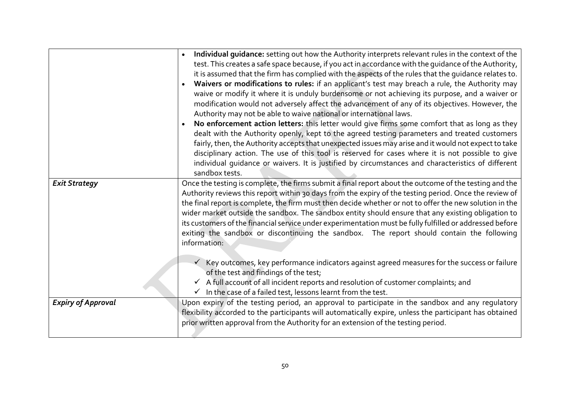| <b>Exit Strategy</b>      | Individual guidance: setting out how the Authority interprets relevant rules in the context of the<br>test. This creates a safe space because, if you act in accordance with the guidance of the Authority,<br>it is assumed that the firm has complied with the aspects of the rules that the quidance relates to.<br>Waivers or modifications to rules: if an applicant's test may breach a rule, the Authority may<br>waive or modify it where it is unduly burdensome or not achieving its purpose, and a waiver or<br>modification would not adversely affect the advancement of any of its objectives. However, the<br>Authority may not be able to waive national or international laws.<br>No enforcement action letters: this letter would give firms some comfort that as long as they<br>dealt with the Authority openly, kept to the agreed testing parameters and treated customers<br>fairly, then, the Authority accepts that unexpected issues may arise and it would not expect to take<br>disciplinary action. The use of this tool is reserved for cases where it is not possible to give<br>individual quidance or waivers. It is justified by circumstances and characteristics of different<br>sandbox tests.<br>Once the testing is complete, the firms submit a final report about the outcome of the testing and the |
|---------------------------|-----------------------------------------------------------------------------------------------------------------------------------------------------------------------------------------------------------------------------------------------------------------------------------------------------------------------------------------------------------------------------------------------------------------------------------------------------------------------------------------------------------------------------------------------------------------------------------------------------------------------------------------------------------------------------------------------------------------------------------------------------------------------------------------------------------------------------------------------------------------------------------------------------------------------------------------------------------------------------------------------------------------------------------------------------------------------------------------------------------------------------------------------------------------------------------------------------------------------------------------------------------------------------------------------------------------------------------------------|
|                           | Authority reviews this report within 30 days from the expiry of the testing period. Once the review of                                                                                                                                                                                                                                                                                                                                                                                                                                                                                                                                                                                                                                                                                                                                                                                                                                                                                                                                                                                                                                                                                                                                                                                                                                        |
|                           | the final report is complete, the firm must then decide whether or not to offer the new solution in the                                                                                                                                                                                                                                                                                                                                                                                                                                                                                                                                                                                                                                                                                                                                                                                                                                                                                                                                                                                                                                                                                                                                                                                                                                       |
|                           | wider market outside the sandbox. The sandbox entity should ensure that any existing obligation to<br>its customers of the financial service under experimentation must be fully fulfilled or addressed before                                                                                                                                                                                                                                                                                                                                                                                                                                                                                                                                                                                                                                                                                                                                                                                                                                                                                                                                                                                                                                                                                                                                |
|                           | exiting the sandbox or discontinuing the sandbox. The report should contain the following                                                                                                                                                                                                                                                                                                                                                                                                                                                                                                                                                                                                                                                                                                                                                                                                                                                                                                                                                                                                                                                                                                                                                                                                                                                     |
|                           | information:                                                                                                                                                                                                                                                                                                                                                                                                                                                                                                                                                                                                                                                                                                                                                                                                                                                                                                                                                                                                                                                                                                                                                                                                                                                                                                                                  |
|                           | $\checkmark$ Key outcomes, key performance indicators against agreed measures for the success or failure<br>of the test and findings of the test;                                                                                                                                                                                                                                                                                                                                                                                                                                                                                                                                                                                                                                                                                                                                                                                                                                                                                                                                                                                                                                                                                                                                                                                             |
|                           | $\checkmark$ A full account of all incident reports and resolution of customer complaints; and<br>$\checkmark$ In the case of a failed test, lessons learnt from the test.                                                                                                                                                                                                                                                                                                                                                                                                                                                                                                                                                                                                                                                                                                                                                                                                                                                                                                                                                                                                                                                                                                                                                                    |
|                           |                                                                                                                                                                                                                                                                                                                                                                                                                                                                                                                                                                                                                                                                                                                                                                                                                                                                                                                                                                                                                                                                                                                                                                                                                                                                                                                                               |
| <b>Expiry of Approval</b> | Upon expiry of the testing period, an approval to participate in the sandbox and any regulatory<br>flexibility accorded to the participants will automatically expire, unless the participant has obtained                                                                                                                                                                                                                                                                                                                                                                                                                                                                                                                                                                                                                                                                                                                                                                                                                                                                                                                                                                                                                                                                                                                                    |
|                           | prior written approval from the Authority for an extension of the testing period.                                                                                                                                                                                                                                                                                                                                                                                                                                                                                                                                                                                                                                                                                                                                                                                                                                                                                                                                                                                                                                                                                                                                                                                                                                                             |
|                           |                                                                                                                                                                                                                                                                                                                                                                                                                                                                                                                                                                                                                                                                                                                                                                                                                                                                                                                                                                                                                                                                                                                                                                                                                                                                                                                                               |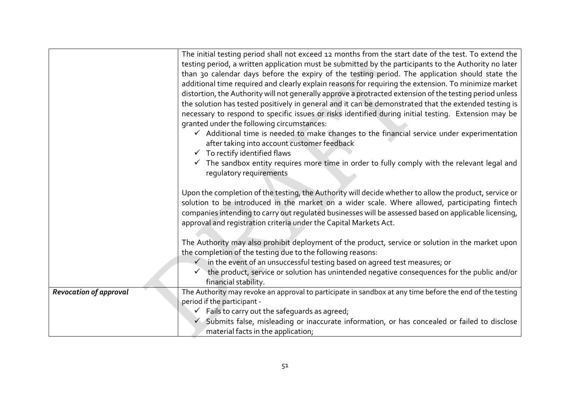|                               | The initial testing period shall not exceed 12 months from the start date of the test. To extend the        |
|-------------------------------|-------------------------------------------------------------------------------------------------------------|
|                               | testing period, a written application must be submitted by the participants to the Authority no later       |
|                               | than 30 calendar days before the expiry of the testing period. The application should state the             |
|                               | additional time required and clearly explain reasons for requiring the extension. To minimize market        |
|                               | distortion, the Authority will not generally approve a protracted extension of the testing period unless    |
|                               | the solution has tested positively in general and it can be demonstrated that the extended testing is       |
|                               | necessary to respond to specific issues or risks identified during initial testing. Extension may be        |
|                               | granted under the following circumstances:                                                                  |
|                               | $\checkmark$ Additional time is needed to make changes to the financial service under experimentation       |
|                               | after taking into account customer feedback                                                                 |
|                               | $\checkmark$ To rectify identified flaws                                                                    |
|                               | $\checkmark$ The sandbox entity requires more time in order to fully comply with the relevant legal and     |
|                               | regulatory requirements                                                                                     |
|                               |                                                                                                             |
|                               | Upon the completion of the testing, the Authority will decide whether to allow the product, service or      |
|                               | solution to be introduced in the market on a wider scale. Where allowed, participating fintech              |
|                               | companies intending to carry out regulated businesses will be assessed based on applicable licensing,       |
|                               | approval and registration criteria under the Capital Markets Act.                                           |
|                               |                                                                                                             |
|                               | The Authority may also prohibit deployment of the product, service or solution in the market upon           |
|                               | the completion of the testing due to the following reasons:                                                 |
|                               | $\checkmark$ in the event of an unsuccessful testing based on agreed test measures; or                      |
|                               | the product, service or solution has unintended negative consequences for the public and/or<br>$\checkmark$ |
|                               | financial stability.                                                                                        |
| <b>Revocation of approval</b> | The Authority may revoke an approval to participate in sandbox at any time before the end of the testing    |
|                               | period if the participant -                                                                                 |
|                               | $\checkmark$ Fails to carry out the safeguards as agreed;                                                   |
|                               | ✓ Submits false, misleading or inaccurate information, or has concealed or failed to disclose               |
|                               | material facts in the application;                                                                          |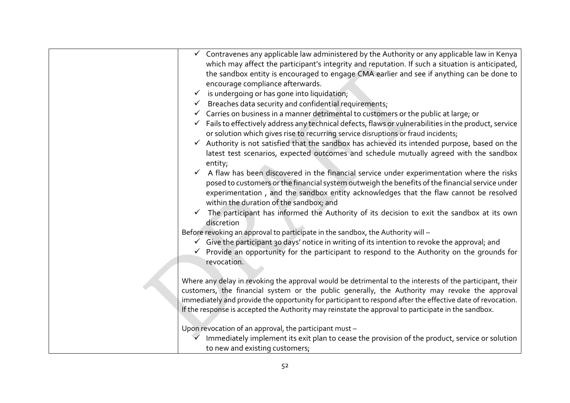| $\checkmark$ Contravenes any applicable law administered by the Authority or any applicable law in Kenya   |
|------------------------------------------------------------------------------------------------------------|
| which may affect the participant's integrity and reputation. If such a situation is anticipated,           |
| the sandbox entity is encouraged to engage CMA earlier and see if anything can be done to                  |
| encourage compliance afterwards.                                                                           |
| $\checkmark$ is undergoing or has gone into liquidation;                                                   |
| Breaches data security and confidential requirements;                                                      |
| $\checkmark$ Carries on business in a manner detrimental to customers or the public at large; or           |
| Fails to effectively address any technical defects, flaws or vulnerabilities in the product, service       |
| or solution which gives rise to recurring service disruptions or fraud incidents;                          |
| Authority is not satisfied that the sandbox has achieved its intended purpose, based on the                |
| latest test scenarios, expected outcomes and schedule mutually agreed with the sandbox                     |
| entity;                                                                                                    |
| A flaw has been discovered in the financial service under experimentation where the risks                  |
| posed to customers or the financial system outweigh the benefits of the financial service under            |
| experimentation, and the sandbox entity acknowledges that the flaw cannot be resolved                      |
| within the duration of the sandbox; and                                                                    |
| The participant has informed the Authority of its decision to exit the sandbox at its own                  |
| discretion                                                                                                 |
| Before revoking an approval to participate in the sandbox, the Authority will -                            |
| $\checkmark$ Give the participant 30 days' notice in writing of its intention to revoke the approval; and  |
| $\checkmark$ Provide an opportunity for the participant to respond to the Authority on the grounds for     |
| revocation.                                                                                                |
|                                                                                                            |
| Where any delay in revoking the approval would be detrimental to the interests of the participant, their   |
| customers, the financial system or the public generally, the Authority may revoke the approval             |
| immediately and provide the opportunity for participant to respond after the effective date of revocation. |
| If the response is accepted the Authority may reinstate the approval to participate in the sandbox.        |
|                                                                                                            |
| Upon revocation of an approval, the participant must -                                                     |
| Immediately implement its exit plan to cease the provision of the product, service or solution             |
| to new and existing customers;                                                                             |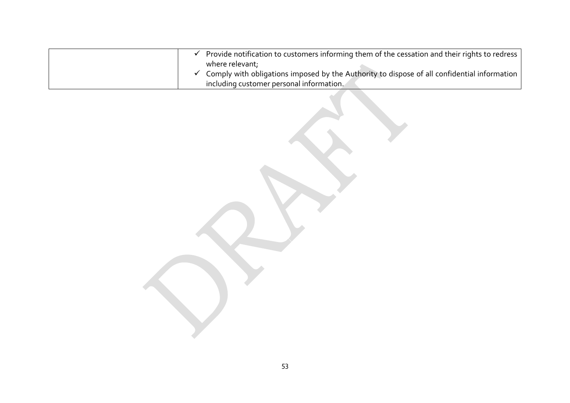|  | Provide notification to customers informing them of the cessation and their rights to redress            |
|--|----------------------------------------------------------------------------------------------------------|
|  | where relevant;                                                                                          |
|  | $\checkmark$ Comply with obligations imposed by the Authority to dispose of all confidential information |
|  | including customer personal information.                                                                 |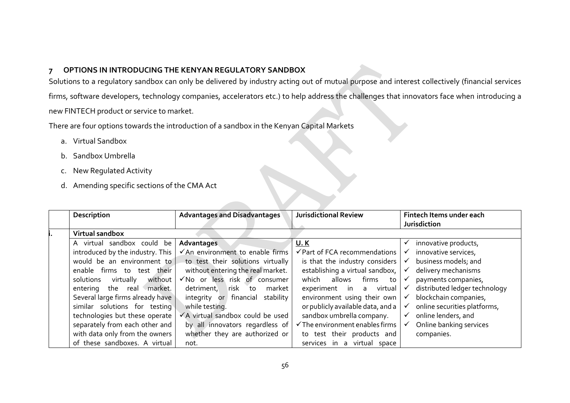#### **7 OPTIONS IN INTRODUCING THE KENYAN REGULATORY SANDBOX**

Solutions to a regulatory sandbox can only be delivered by industry acting out of mutual purpose and interest collectively (financial services firms, software developers, technology companies, accelerators etc.) to help address the challenges that innovators face when introducing a new FINTECH product or service to market.

There are four options towards the introduction of a sandbox in the Kenyan Capital Markets

- a. Virtual Sandbox
- b. Sandbox Umbrella
- c. New Regulated Activity
- d. Amending specific sections of the CMA Act

<span id="page-44-0"></span>

| Description                       | <b>Advantages and Disadvantages</b> | <b>Jurisdictional Review</b>               | Fintech Items under each<br><b>Jurisdiction</b> |  |
|-----------------------------------|-------------------------------------|--------------------------------------------|-------------------------------------------------|--|
|                                   |                                     |                                            |                                                 |  |
| Virtual sandbox                   |                                     |                                            |                                                 |  |
| A virtual sandbox could be        | Advantages                          | <u>U.K</u>                                 | innovative products,<br>✓                       |  |
| introduced by the industry. This  | √An environment to enable firms     | √Part of FCA recommendations               | innovative services,<br>✓                       |  |
| would be an environment to        | to test their solutions virtually   | is that the industry considers             | business models; and<br>$\checkmark$            |  |
| firms to test their<br>enable     | without entering the real market.   | establishing a virtual sandbox,            | delivery mechanisms<br>$\checkmark$             |  |
| solutions<br>virtually<br>without | √No or less risk of consumer        | allows<br>which<br>firms<br>to             | payments companies,<br>$\checkmark$             |  |
| market.<br>the real<br>entering   | risk<br>detriment,<br>market<br>to  | experiment<br>in<br>a virtual              | distributed ledger technology<br>$\checkmark$   |  |
| Several large firms already have  | integrity or financial stability    | environment using their own                | blockchain companies,<br>$\checkmark$           |  |
| similar solutions for testing     | while testing.                      | or publicly available data, and a          | online securities platforms,<br>$\checkmark$    |  |
| technologies but these operate    | ✔ A virtual sandbox could be used   | sandbox umbrella company.                  | online lenders, and<br>✓                        |  |
| separately from each other and    | by all innovators regardless of     | $\checkmark$ The environment enables firms | Online banking services<br>$\checkmark$         |  |
| with data only from the owners    | whether they are authorized or      | to test their products and                 | companies.                                      |  |
| of these sandboxes. A virtual     | not.                                | services in a virtual space                |                                                 |  |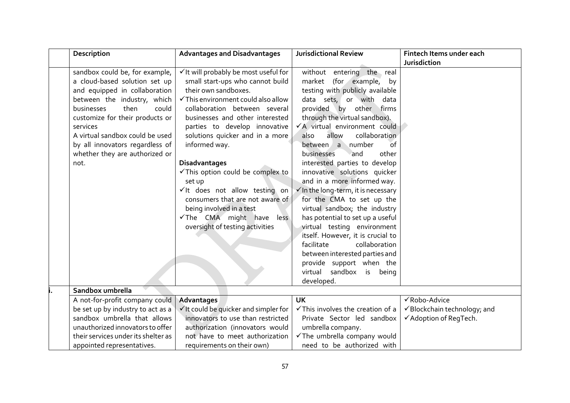|                                  | Description                                                                                                                                                                                                                                                                                                                   | <b>Advantages and Disadvantages</b>                                                                                                                                                                                                                                                                                                                                                                                                                                                                                                                 | <b>Jurisdictional Review</b>                                                                                                                                                                                                                                                                                                                                                                                                                                                                                                                                                                                                                                                                                                                                                         | Fintech Items under each     |
|----------------------------------|-------------------------------------------------------------------------------------------------------------------------------------------------------------------------------------------------------------------------------------------------------------------------------------------------------------------------------|-----------------------------------------------------------------------------------------------------------------------------------------------------------------------------------------------------------------------------------------------------------------------------------------------------------------------------------------------------------------------------------------------------------------------------------------------------------------------------------------------------------------------------------------------------|--------------------------------------------------------------------------------------------------------------------------------------------------------------------------------------------------------------------------------------------------------------------------------------------------------------------------------------------------------------------------------------------------------------------------------------------------------------------------------------------------------------------------------------------------------------------------------------------------------------------------------------------------------------------------------------------------------------------------------------------------------------------------------------|------------------------------|
|                                  |                                                                                                                                                                                                                                                                                                                               |                                                                                                                                                                                                                                                                                                                                                                                                                                                                                                                                                     |                                                                                                                                                                                                                                                                                                                                                                                                                                                                                                                                                                                                                                                                                                                                                                                      | Jurisdiction                 |
|                                  | sandbox could be, for example,<br>a cloud-based solution set up<br>and equipped in collaboration<br>between the industry, which<br>then<br>could<br>businesses<br>customize for their products or<br>services<br>A virtual sandbox could be used<br>by all innovators regardless of<br>whether they are authorized or<br>not. | √It will probably be most useful for<br>small start-ups who cannot build<br>their own sandboxes.<br>$\checkmark$ This environment could also allow<br>collaboration between several<br>businesses and other interested<br>parties to develop innovative<br>solutions quicker and in a more<br>informed way.<br><b>Disadvantages</b><br>√This option could be complex to<br>set up<br>√It does not allow testing on<br>consumers that are not aware of<br>being involved in a test<br>√The CMA might have<br>less<br>oversight of testing activities | without entering the real<br>market (for example,<br>by<br>testing with publicly available<br>data sets, or with data<br>provided by other firms<br>through the virtual sandbox).<br>√A virtual environment could<br>allow<br>collaboration<br>also<br>between a number<br>$\circ$ f<br>businesses<br>and<br>other<br>interested parties to develop<br>innovative solutions quicker<br>and in a more informed way.<br>$\checkmark$ In the long-term, it is necessary<br>for the CMA to set up the<br>virtual sandbox; the industry<br>has potential to set up a useful<br>virtual testing environment<br>itself. However, it is crucial to<br>facilitate<br>collaboration<br>between interested parties and<br>provide support when the<br>virtual<br>sandbox is being<br>developed. |                              |
|                                  | Sandbox umbrella                                                                                                                                                                                                                                                                                                              |                                                                                                                                                                                                                                                                                                                                                                                                                                                                                                                                                     |                                                                                                                                                                                                                                                                                                                                                                                                                                                                                                                                                                                                                                                                                                                                                                                      |                              |
|                                  | A not-for-profit company could                                                                                                                                                                                                                                                                                                | Advantages                                                                                                                                                                                                                                                                                                                                                                                                                                                                                                                                          | <b>UK</b>                                                                                                                                                                                                                                                                                                                                                                                                                                                                                                                                                                                                                                                                                                                                                                            | √Robo-Advice                 |
|                                  | be set up by industry to act as a                                                                                                                                                                                                                                                                                             | √It could be quicker and simpler for                                                                                                                                                                                                                                                                                                                                                                                                                                                                                                                | √This involves the creation of a                                                                                                                                                                                                                                                                                                                                                                                                                                                                                                                                                                                                                                                                                                                                                     | ✔ Blockchain technology; and |
|                                  | sandbox umbrella that allows                                                                                                                                                                                                                                                                                                  | innovators to use than restricted                                                                                                                                                                                                                                                                                                                                                                                                                                                                                                                   | Private Sector led sandbox                                                                                                                                                                                                                                                                                                                                                                                                                                                                                                                                                                                                                                                                                                                                                           | ✔ Adoption of ReqTech.       |
| unauthorized innovators to offer |                                                                                                                                                                                                                                                                                                                               | authorization (innovators would                                                                                                                                                                                                                                                                                                                                                                                                                                                                                                                     | umbrella company.                                                                                                                                                                                                                                                                                                                                                                                                                                                                                                                                                                                                                                                                                                                                                                    |                              |
|                                  | their services under its shelter as                                                                                                                                                                                                                                                                                           | not have to meet authorization                                                                                                                                                                                                                                                                                                                                                                                                                                                                                                                      | √The umbrella company would                                                                                                                                                                                                                                                                                                                                                                                                                                                                                                                                                                                                                                                                                                                                                          |                              |
|                                  | appointed representatives.                                                                                                                                                                                                                                                                                                    | requirements on their own)                                                                                                                                                                                                                                                                                                                                                                                                                                                                                                                          | need to be authorized with                                                                                                                                                                                                                                                                                                                                                                                                                                                                                                                                                                                                                                                                                                                                                           |                              |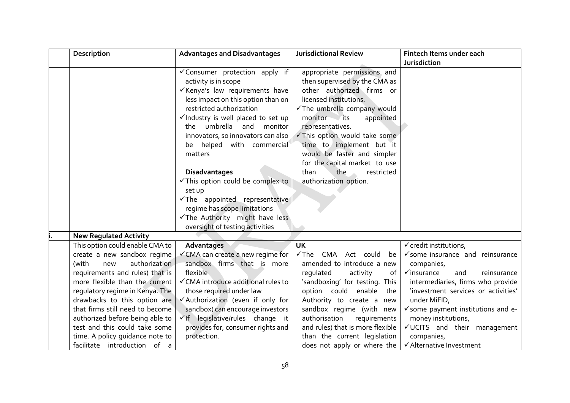|  | Description                     | <b>Advantages and Disadvantages</b>            | <b>Jurisdictional Review</b>            | Fintech Items under each                      |  |
|--|---------------------------------|------------------------------------------------|-----------------------------------------|-----------------------------------------------|--|
|  |                                 |                                                |                                         | Jurisdiction                                  |  |
|  |                                 | √Consumer protection apply if                  | appropriate permissions and             |                                               |  |
|  |                                 | activity is in scope                           | then supervised by the CMA as           |                                               |  |
|  |                                 | √Kenya's law requirements have                 | other authorized firms or               |                                               |  |
|  |                                 | less impact on this option than on             | licensed institutions.                  |                                               |  |
|  |                                 | restricted authorization                       | √The umbrella company would             |                                               |  |
|  |                                 | $\checkmark$ Industry is well placed to set up | monitor its<br>appointed                |                                               |  |
|  |                                 | the umbrella and<br>monitor                    | representatives.                        |                                               |  |
|  |                                 | innovators, so innovators can also             | This option would take some             |                                               |  |
|  |                                 | be helped with commercial                      | time to implement but it                |                                               |  |
|  |                                 | matters                                        | would be faster and simpler             |                                               |  |
|  |                                 |                                                | for the capital market to use           |                                               |  |
|  |                                 | <b>Disadvantages</b>                           | than<br>the<br>restricted               |                                               |  |
|  |                                 | √This option could be complex to               | authorization option.                   |                                               |  |
|  |                                 | set up                                         |                                         |                                               |  |
|  |                                 | √The appointed representative                  |                                         |                                               |  |
|  |                                 | regime has scope limitations                   |                                         |                                               |  |
|  |                                 | The Authority might have less                  |                                         |                                               |  |
|  |                                 | oversight of testing activities                |                                         |                                               |  |
|  | <b>New Regulated Activity</b>   |                                                |                                         |                                               |  |
|  | This option could enable CMA to | Advantages                                     | <b>UK</b>                               | √ credit institutions,                        |  |
|  | create a new sandbox regime     | √ CMA can create a new regime for              | $\checkmark$ The<br>CMA Act could<br>be | $\checkmark$ some insurance and reinsurance   |  |
|  | authorization<br>(with<br>new   | sandbox firms that is more                     | amended to introduce a new              | companies,                                    |  |
|  | requirements and rules) that is | flexible                                       | regulated<br>activity<br>of             | $\checkmark$ insurance<br>and<br>reinsurance  |  |
|  | more flexible than the current  | √ CMA introduce additional rules to            | 'sandboxing' for testing. This          | intermediaries, firms who provide             |  |
|  | regulatory regime in Kenya. The | those required under law                       | option could enable<br>the              | 'investment services or activities'           |  |
|  | drawbacks to this option are    | √Authorization (even if only for               | Authority to create a new               | under MiFID,                                  |  |
|  | that firms still need to become | sandbox) can encourage investors               | sandbox regime (with new                | $\checkmark$ some payment institutions and e- |  |
|  | authorized before being able to | $\checkmark$ If legislative/rules change it    | authorisation<br>requirements           | money institutions,                           |  |
|  | test and this could take some   | provides for, consumer rights and              | and rules) that is more flexible        | √UCITS and their management                   |  |
|  | time. A policy guidance note to | protection.                                    | than the current legislation            | companies,                                    |  |
|  | facilitate introduction of a    |                                                | does not apply or where the             | √Alternative Investment                       |  |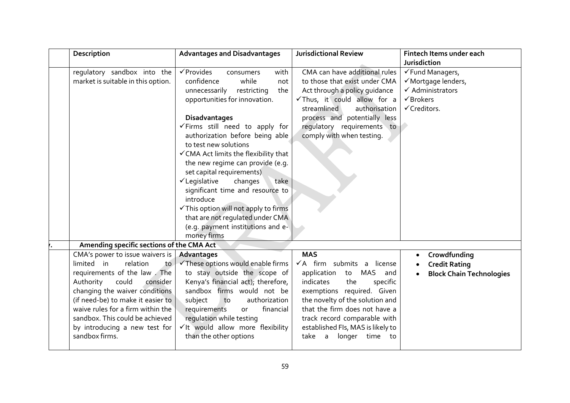| Description                               | <b>Advantages and Disadvantages</b>         | <b>Jurisdictional Review</b>      | Fintech Items under each          |
|-------------------------------------------|---------------------------------------------|-----------------------------------|-----------------------------------|
|                                           |                                             |                                   | Jurisdiction                      |
| regulatory sandbox into the               | $\checkmark$ Provides<br>with<br>consumers  | CMA can have additional rules     | √Fund Managers,                   |
| market is suitable in this option.        | confidence<br>while<br>not                  | to those that exist under CMA     | √Mortgage lenders,                |
|                                           | unnecessarily restricting<br>the            | Act through a policy guidance     | $\checkmark$ Administrators       |
|                                           | opportunities for innovation.               | √Thus, it could allow for a       | $\checkmark$ Brokers              |
|                                           |                                             | streamlined<br>authorisation      | √Creditors.                       |
|                                           | <b>Disadvantages</b>                        | process and potentially less      |                                   |
|                                           | √Firms still need to apply for              | requlatory requirements to        |                                   |
|                                           | authorization before being able             | comply with when testing.         |                                   |
|                                           | to test new solutions                       |                                   |                                   |
|                                           | √ CMA Act limits the flexibility that       |                                   |                                   |
|                                           | the new regime can provide (e.g.            |                                   |                                   |
|                                           | set capital requirements)                   |                                   |                                   |
|                                           | $\checkmark$ Legislative<br>changes<br>take |                                   |                                   |
|                                           | significant time and resource to            |                                   |                                   |
|                                           | introduce                                   |                                   |                                   |
|                                           | √ This option will not apply to firms       |                                   |                                   |
|                                           | that are not regulated under CMA            |                                   |                                   |
|                                           | (e.g. payment institutions and e-           |                                   |                                   |
|                                           | money firms                                 |                                   |                                   |
| Amending specific sections of the CMA Act |                                             |                                   |                                   |
| CMA's power to issue waivers is           | Advantages                                  | <b>MAS</b>                        | Crowdfunding<br>$\bullet$         |
| relation<br>limited in<br>to              | √ These options would enable firms          | √A firm submits a license         | <b>Credit Rating</b><br>$\bullet$ |
| requirements of the law. The              | to stay outside the scope of                | MAS<br>application to<br>and      | <b>Block Chain Technologies</b>   |
| Authority<br>could<br>consider            | Kenya's financial act); therefore,          | indicates<br>the<br>specific      |                                   |
| changing the waiver conditions            | sandbox firms would not be                  | exemptions required. Given        |                                   |
| (if need-be) to make it easier to         | subject<br>authorization<br>to              | the novelty of the solution and   |                                   |
| waive rules for a firm within the         | financial<br>requirements<br><b>or</b>      | that the firm does not have a     |                                   |
| sandbox. This could be achieved           | regulation while testing                    | track record comparable with      |                                   |
| by introducing a new test for             | vit would allow more flexibility            | established FIs, MAS is likely to |                                   |
| sandbox firms.                            | than the other options                      | longer time to<br>take a          |                                   |
|                                           |                                             |                                   |                                   |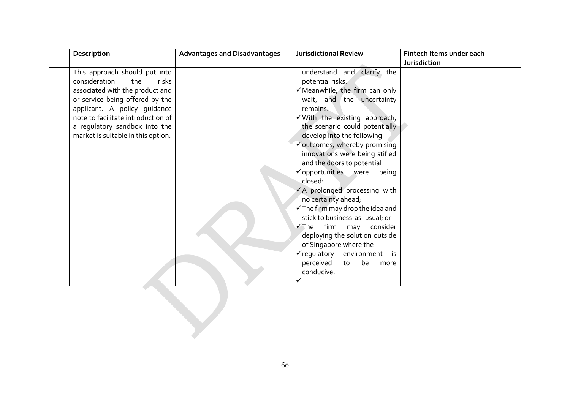| Description                        | <b>Advantages and Disadvantages</b> | <b>Jurisdictional Review</b>                | Fintech Items under each |
|------------------------------------|-------------------------------------|---------------------------------------------|--------------------------|
|                                    |                                     |                                             | Jurisdiction             |
| This approach should put into      |                                     | understand and clarify the                  |                          |
| consideration<br>the<br>risks      |                                     | potential risks.                            |                          |
| associated with the product and    |                                     | √Meanwhile, the firm can only               |                          |
| or service being offered by the    |                                     | wait, and the uncertainty                   |                          |
| applicant. A policy guidance       |                                     | remains.                                    |                          |
| note to facilitate introduction of |                                     | √With the existing approach,                |                          |
| a regulatory sandbox into the      |                                     | the scenario could potentially              |                          |
| market is suitable in this option. |                                     | develop into the following                  |                          |
|                                    |                                     | Voutcomes, whereby promising                |                          |
|                                    |                                     | innovations were being stifled              |                          |
|                                    |                                     | and the doors to potential                  |                          |
|                                    |                                     | √opportunities were<br>being                |                          |
|                                    |                                     | closed:                                     |                          |
|                                    |                                     | ✔ A prolonged processing with               |                          |
|                                    |                                     | no certainty ahead;                         |                          |
|                                    |                                     | $\checkmark$ The firm may drop the idea and |                          |
|                                    |                                     | stick to business-as -usual; or             |                          |
|                                    |                                     | √The firm may consider                      |                          |
|                                    |                                     | deploying the solution outside              |                          |
|                                    |                                     | of Singapore where the                      |                          |
|                                    |                                     | √regulatory environment is                  |                          |
|                                    |                                     | perceived to<br>be<br>more                  |                          |
|                                    |                                     | conducive.                                  |                          |
|                                    |                                     |                                             |                          |
|                                    |                                     |                                             |                          |
|                                    |                                     |                                             |                          |
|                                    |                                     |                                             |                          |
|                                    |                                     |                                             |                          |
|                                    |                                     |                                             |                          |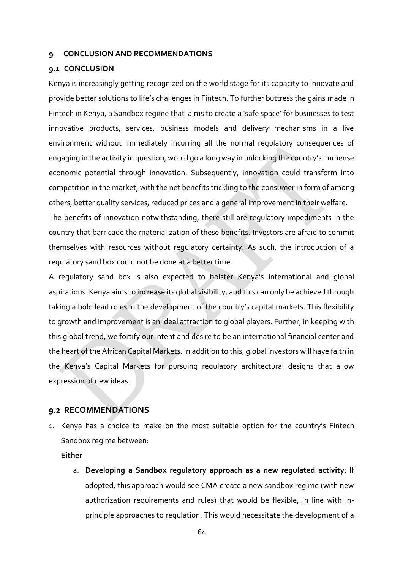#### <span id="page-49-0"></span>**9 CONCLUSION AND RECOMMENDATIONS**

#### <span id="page-49-1"></span>**9.1 CONCLUSION**

Kenya is increasingly getting recognized on the world stage for its capacity to innovate and provide better solutions to life's challenges in Fintech. To further buttress the gains made in Fintech in Kenya, a Sandbox regime that aims to create a 'safe space' for businesses to test innovative products, services, business models and delivery mechanisms in a live environment without immediately incurring all the normal regulatory consequences of engaging in the activity in question, would go a long way in unlocking the country's immense economic potential through innovation. Subsequently, innovation could transform into competition in the market, with the net benefits trickling to the consumer in form of among others, better quality services, reduced prices and a general improvement in their welfare.

The benefits of innovation notwithstanding, there still are regulatory impediments in the country that barricade the materialization of these benefits. Investors are afraid to commit themselves with resources without regulatory certainty. As such, the introduction of a regulatory sand box could not be done at a better time.

A regulatory sand box is also expected to bolster Kenya's international and global aspirations. Kenya aims to increase its global visibility, and this can only be achieved through taking a bold lead roles in the development of the country's capital markets. This flexibility to growth and improvement is an ideal attraction to global players. Further, in keeping with this global trend, we fortify our intent and desire to be an international financial center and the heart of the African Capital Markets. In addition to this, global investors will have faith in the Kenya's Capital Markets for pursuing regulatory architectural designs that allow expression of new ideas.

#### <span id="page-49-2"></span>**9.2 RECOMMENDATIONS**

1. Kenya has a choice to make on the most suitable option for the country's Fintech Sandbox regime between:

**Either**

a. **Developing a Sandbox regulatory approach as a new regulated activity**: If adopted, this approach would see CMA create a new sandbox regime (with new authorization requirements and rules) that would be flexible, in line with inprinciple approaches to regulation. This would necessitate the development of a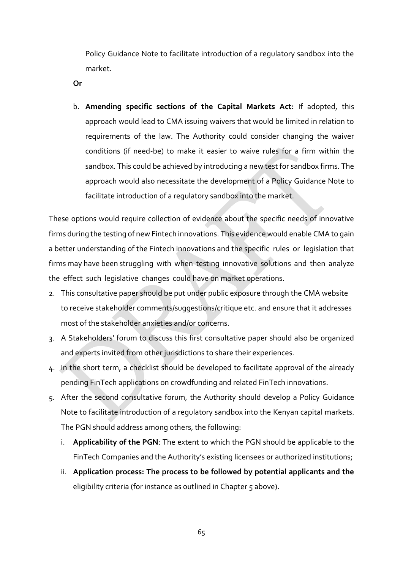Policy Guidance Note to facilitate introduction of a regulatory sandbox into the market.

**Or**

b. **Amending specific sections of the Capital Markets Act:** If adopted, this approach would lead to CMA issuing waivers that would be limited in relation to requirements of the law. The Authority could consider changing the waiver conditions (if need-be) to make it easier to waive rules for a firm within the sandbox. This could be achieved by introducing a new test for sandbox firms. The approach would also necessitate the development of a Policy Guidance Note to facilitate introduction of a regulatory sandbox into the market.

These options would require collection of evidence about the specific needs of innovative firms during the testing of new Fintech innovations. This evidence would enable CMA to gain a better understanding of the Fintech innovations and the specific rules or legislation that firms may have been struggling with when testing innovative solutions and then analyze the effect such legislative changes could have on market operations.

- 2. This consultative paper should be put under public exposure through the CMA website to receive stakeholder comments/suggestions/critique etc. and ensure that it addresses most of the stakeholder anxieties and/or concerns.
- 3. A Stakeholders' forum to discuss this first consultative paper should also be organized and experts invited from other jurisdictions to share their experiences.
- 4. In the short term, a checklist should be developed to facilitate approval of the already pending FinTech applications on crowdfunding and related FinTech innovations.
- 5. After the second consultative forum, the Authority should develop a Policy Guidance Note to facilitate introduction of a regulatory sandbox into the Kenyan capital markets. The PGN should address among others, the following:
	- i. **Applicability of the PGN**: The extent to which the PGN should be applicable to the FinTech Companies and the Authority's existing licensees or authorized institutions;
	- ii. **Application process: The process to be followed by potential applicants and the** eligibility criteria (for instance as outlined in Chapter 5 above).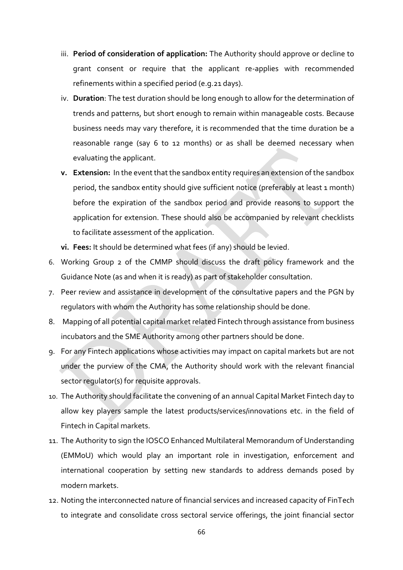- iii. **Period of consideration of application:** The Authority should approve or decline to grant consent or require that the applicant re-applies with recommended refinements within a specified period (e.g.21 days).
- iv. **Duration**: The test duration should be long enough to allow for the determination of trends and patterns, but short enough to remain within manageable costs. Because business needs may vary therefore, it is recommended that the time duration be a reasonable range (say 6 to 12 months) or as shall be deemed necessary when evaluating the applicant.
- **v. Extension:** In the event that the sandbox entity requires an extension of the sandbox period, the sandbox entity should give sufficient notice (preferably at least 1 month) before the expiration of the sandbox period and provide reasons to support the application for extension. These should also be accompanied by relevant checklists to facilitate assessment of the application.
- **vi. Fees:** It should be determined what fees (if any) should be levied.
- 6. Working Group 2 of the CMMP should discuss the draft policy framework and the Guidance Note (as and when it is ready) as part of stakeholder consultation.
- 7. Peer review and assistance in development of the consultative papers and the PGN by regulators with whom the Authority has some relationship should be done.
- 8. Mapping of all potential capital market related Fintech through assistance from business incubators and the SME Authority among other partners should be done.
- 9. For any Fintech applications whose activities may impact on capital markets but are not under the purview of the CMA, the Authority should work with the relevant financial sector regulator(s) for requisite approvals.
- 10. The Authority should facilitate the convening of an annual Capital Market Fintech day to allow key players sample the latest products/services/innovations etc. in the field of Fintech in Capital markets.
- 11. The Authority to sign the IOSCO Enhanced Multilateral Memorandum of Understanding (EMMoU) which would play an important role in investigation, enforcement and international cooperation by setting new standards to address demands posed by modern markets.
- 12. Noting the interconnected nature of financial services and increased capacity of FinTech to integrate and consolidate cross sectoral service offerings, the joint financial sector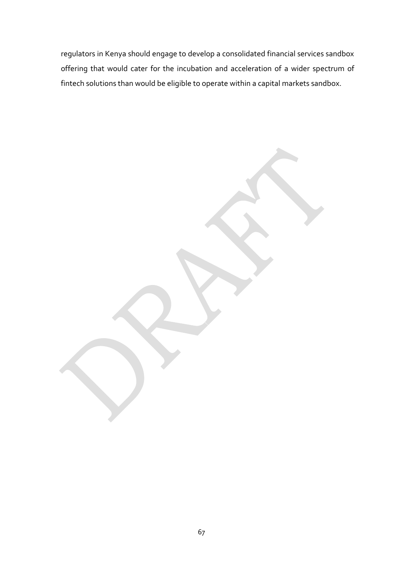regulators in Kenya should engage to develop a consolidated financial services sandbox offering that would cater for the incubation and acceleration of a wider spectrum of fintech solutions than would be eligible to operate within a capital markets sandbox.

67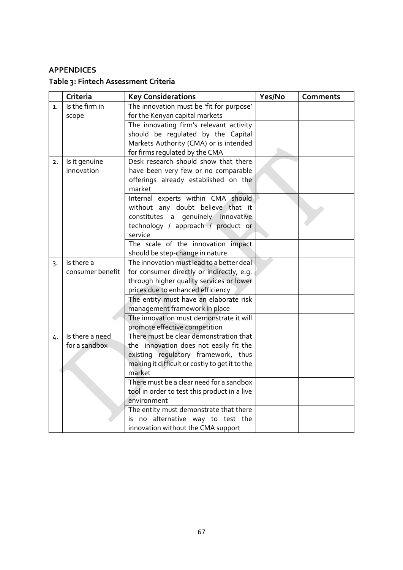## <span id="page-53-0"></span>**APPENDICES**

# **Table 3: Fintech Assessment Criteria**

|                | Criteria         | <b>Key Considerations</b>                                                     | Yes/No | Comments |
|----------------|------------------|-------------------------------------------------------------------------------|--------|----------|
| 1.             | Is the firm in   | The innovation must be 'fit for purpose'                                      |        |          |
|                | scope            | for the Kenyan capital markets                                                |        |          |
|                |                  | The innovating firm's relevant activity                                       |        |          |
|                |                  | should be regulated by the Capital                                            |        |          |
|                |                  | Markets Authority (CMA) or is intended                                        |        |          |
|                |                  | for firms regulated by the CMA                                                |        |          |
| 2.             | Is it genuine    | Desk research should show that there                                          |        |          |
|                | innovation       | have been very few or no comparable                                           |        |          |
|                |                  | offerings already established on the                                          |        |          |
|                |                  | market                                                                        |        |          |
|                |                  | Internal experts within CMA should                                            |        |          |
|                |                  | without any doubt believe that it                                             |        |          |
|                |                  | constitutes a genuinely innovative                                            |        |          |
|                |                  | technology / approach / product or                                            |        |          |
|                |                  | service                                                                       |        |          |
|                |                  | The scale of the innovation impact                                            |        |          |
|                |                  | should be step-change in nature.                                              |        |          |
| $\overline{3}$ | Is there a       | The innovation must lead to a better deal                                     |        |          |
|                | consumer benefit | for consumer directly or indirectly, e.g.                                     |        |          |
|                |                  | through higher quality services or lower<br>prices due to enhanced efficiency |        |          |
|                |                  | The entity must have an elaborate risk                                        |        |          |
|                |                  | management framework in place                                                 |        |          |
|                |                  | The innovation must demonstrate it will                                       |        |          |
|                |                  | promote effective competition                                                 |        |          |
| 4.             | Is there a need  | There must be clear demonstration that                                        |        |          |
|                | for a sandbox    | the innovation does not easily fit the                                        |        |          |
|                |                  | existing regulatory framework, thus                                           |        |          |
|                |                  | making it difficult or costly to get it to the                                |        |          |
|                |                  | market                                                                        |        |          |
|                |                  | There must be a clear need for a sandbox                                      |        |          |
|                |                  | tool in order to test this product in a live                                  |        |          |
|                |                  | environment                                                                   |        |          |
|                |                  | The entity must demonstrate that there                                        |        |          |
|                |                  | is no alternative way to test the                                             |        |          |
|                |                  | innovation without the CMA support                                            |        |          |